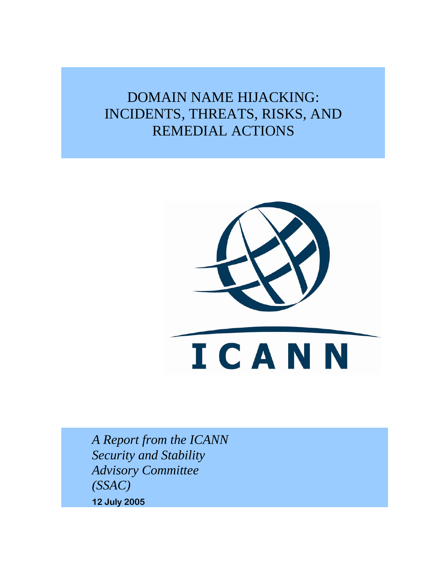# DOMAIN NAME HIJACKING: INCIDENTS, THREATS, RISKS, AND REMEDIAL ACTIONS



*A Report from the ICANN Security and Stability Advisory Committee (SSAC)*  **12 July 2005**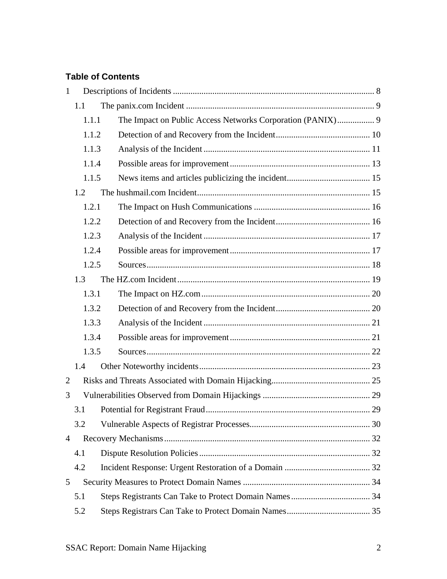### **Table of Contents**

| $\mathbf{1}$   |       |                                                            |  |
|----------------|-------|------------------------------------------------------------|--|
|                | 1.1   |                                                            |  |
|                | 1.1.1 | The Impact on Public Access Networks Corporation (PANIX) 9 |  |
|                | 1.1.2 |                                                            |  |
|                | 1.1.3 |                                                            |  |
|                | 1.1.4 |                                                            |  |
|                | 1.1.5 |                                                            |  |
|                | 1.2   |                                                            |  |
|                | 1.2.1 |                                                            |  |
|                | 1.2.2 |                                                            |  |
|                | 1.2.3 |                                                            |  |
|                | 1.2.4 |                                                            |  |
|                | 1.2.5 |                                                            |  |
|                | 1.3   |                                                            |  |
|                | 1.3.1 |                                                            |  |
|                | 1.3.2 |                                                            |  |
|                | 1.3.3 |                                                            |  |
|                | 1.3.4 |                                                            |  |
|                | 1.3.5 |                                                            |  |
|                | 1.4   |                                                            |  |
| $\overline{2}$ |       |                                                            |  |
| 3              |       |                                                            |  |
|                | 3.1   |                                                            |  |
|                | 3.2   |                                                            |  |
| $\overline{4}$ |       |                                                            |  |
|                | 4.1   |                                                            |  |
|                | 4.2   |                                                            |  |
| 5              |       |                                                            |  |
|                | 5.1   |                                                            |  |
|                | 5.2   |                                                            |  |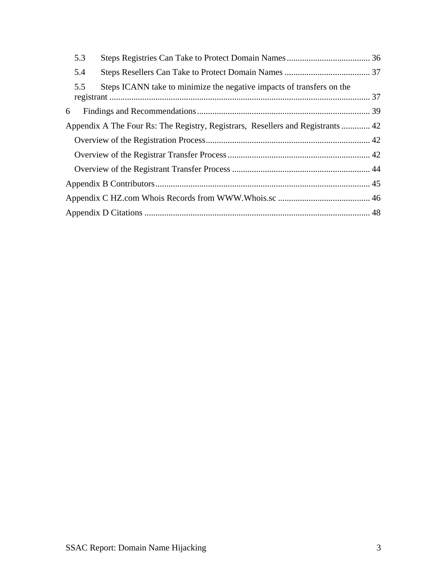|                                                                                 | 5.3 |                                                                       |  |  |
|---------------------------------------------------------------------------------|-----|-----------------------------------------------------------------------|--|--|
|                                                                                 | 5.4 |                                                                       |  |  |
|                                                                                 | 5.5 | Steps ICANN take to minimize the negative impacts of transfers on the |  |  |
| 6                                                                               |     |                                                                       |  |  |
| Appendix A The Four Rs: The Registry, Registrars, Resellers and Registrants  42 |     |                                                                       |  |  |
|                                                                                 |     |                                                                       |  |  |
|                                                                                 |     |                                                                       |  |  |
|                                                                                 |     |                                                                       |  |  |
|                                                                                 |     |                                                                       |  |  |
|                                                                                 |     |                                                                       |  |  |
|                                                                                 |     |                                                                       |  |  |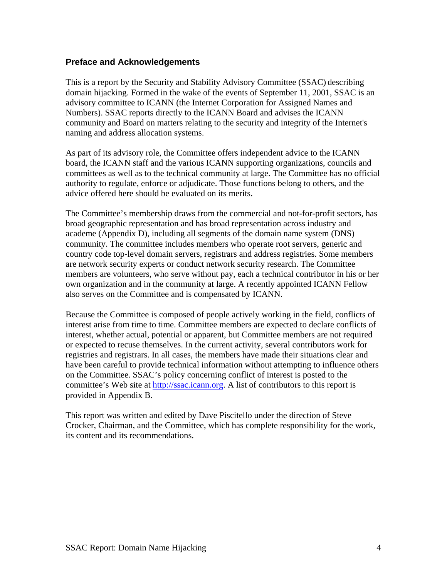#### **Preface and Acknowledgements**

This is a report by the Security and Stability Advisory Committee (SSAC) describing domain hijacking. Formed in the wake of the events of September 11, 2001, SSAC is an advisory committee to ICANN (the Internet Corporation for Assigned Names and Numbers). SSAC reports directly to the ICANN Board and advises the ICANN community and Board on matters relating to the security and integrity of the Internet's naming and address allocation systems.

As part of its advisory role, the Committee offers independent advice to the ICANN board, the ICANN staff and the various ICANN supporting organizations, councils and committees as well as to the technical community at large. The Committee has no official authority to regulate, enforce or adjudicate. Those functions belong to others, and the advice offered here should be evaluated on its merits.

The Committee's membership draws from the commercial and not-for-profit sectors, has broad geographic representation and has broad representation across industry and academe (Appendix D), including all segments of the domain name system (DNS) community. The committee includes members who operate root servers, generic and country code top-level domain servers, registrars and address registries. Some members are network security experts or conduct network security research. The Committee members are volunteers, who serve without pay, each a technical contributor in his or her own organization and in the community at large. A recently appointed ICANN Fellow also serves on the Committee and is compensated by ICANN.

Because the Committee is composed of people actively working in the field, conflicts of interest arise from time to time. Committee members are expected to declare conflicts of interest, whether actual, potential or apparent, but Committee members are not required or expected to recuse themselves. In the current activity, several contributors work for registries and registrars. In all cases, the members have made their situations clear and have been careful to provide technical information without attempting to influence others on the Committee. SSAC's policy concerning conflict of interest is posted to the committee's Web site at [http://ssac.icann.org.](http://ssac.icann.org/) A list of contributors to this report is provided in Appendix B.

This report was written and edited by Dave Piscitello under the direction of Steve Crocker, Chairman, and the Committee, which has complete responsibility for the work, its content and its recommendations.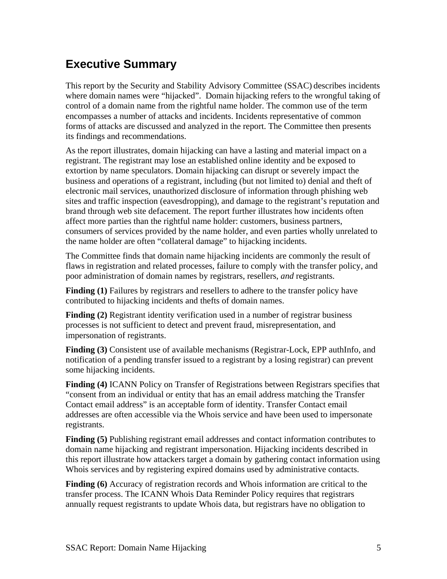# **Executive Summary**

This report by the Security and Stability Advisory Committee (SSAC) describes incidents where domain names were "hijacked". Domain hijacking refers to the wrongful taking of control of a domain name from the rightful name holder. The common use of the term encompasses a number of attacks and incidents. Incidents representative of common forms of attacks are discussed and analyzed in the report. The Committee then presents its findings and recommendations.

As the report illustrates, domain hijacking can have a lasting and material impact on a registrant. The registrant may lose an established online identity and be exposed to extortion by name speculators. Domain hijacking can disrupt or severely impact the business and operations of a registrant, including (but not limited to) denial and theft of electronic mail services, unauthorized disclosure of information through phishing web sites and traffic inspection (eavesdropping), and damage to the registrant's reputation and brand through web site defacement. The report further illustrates how incidents often affect more parties than the rightful name holder: customers, business partners, consumers of services provided by the name holder, and even parties wholly unrelated to the name holder are often "collateral damage" to hijacking incidents.

The Committee finds that domain name hijacking incidents are commonly the result of flaws in registration and related processes, failure to comply with the transfer policy, and poor administration of domain names by registrars, resellers, *and* registrants.

**Finding (1)** Failures by registrars and resellers to adhere to the transfer policy have contributed to hijacking incidents and thefts of domain names.

**Finding (2)** Registrant identity verification used in a number of registrar business processes is not sufficient to detect and prevent fraud, misrepresentation, and impersonation of registrants.

**Finding (3)** Consistent use of available mechanisms (Registrar-Lock, EPP authInfo, and notification of a pending transfer issued to a registrant by a losing registrar) can prevent some hijacking incidents.

**Finding (4)** ICANN Policy on Transfer of Registrations between Registrars specifies that "consent from an individual or entity that has an email address matching the Transfer Contact email address" is an acceptable form of identity. Transfer Contact email addresses are often accessible via the Whois service and have been used to impersonate registrants.

**Finding (5)** Publishing registrant email addresses and contact information contributes to domain name hijacking and registrant impersonation. Hijacking incidents described in this report illustrate how attackers target a domain by gathering contact information using Whois services and by registering expired domains used by administrative contacts.

**Finding (6)** Accuracy of registration records and Whois information are critical to the transfer process. The ICANN Whois Data Reminder Policy requires that registrars annually request registrants to update Whois data, but registrars have no obligation to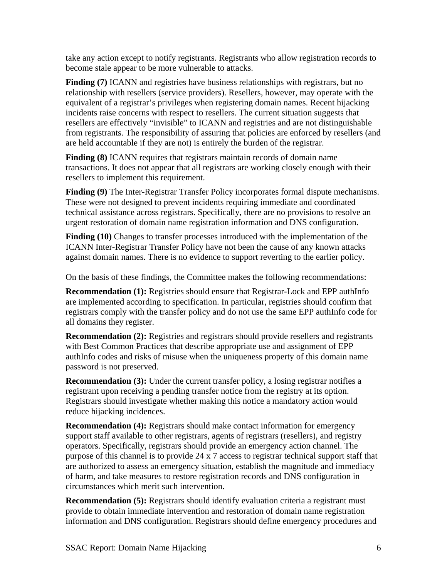take any action except to notify registrants. Registrants who allow registration records to become stale appear to be more vulnerable to attacks.

**Finding (7)** ICANN and registries have business relationships with registrars, but no relationship with resellers (service providers). Resellers, however, may operate with the equivalent of a registrar's privileges when registering domain names. Recent hijacking incidents raise concerns with respect to resellers. The current situation suggests that resellers are effectively "invisible" to ICANN and registries and are not distinguishable from registrants. The responsibility of assuring that policies are enforced by resellers (and are held accountable if they are not) is entirely the burden of the registrar.

**Finding (8)** ICANN requires that registrars maintain records of domain name transactions. It does not appear that all registrars are working closely enough with their resellers to implement this requirement.

**Finding (9)** The Inter-Registrar Transfer Policy incorporates formal dispute mechanisms. These were not designed to prevent incidents requiring immediate and coordinated technical assistance across registrars. Specifically, there are no provisions to resolve an urgent restoration of domain name registration information and DNS configuration.

Finding (10) Changes to transfer processes introduced with the implementation of the ICANN Inter-Registrar Transfer Policy have not been the cause of any known attacks against domain names. There is no evidence to support reverting to the earlier policy.

On the basis of these findings, the Committee makes the following recommendations:

**Recommendation (1):** Registries should ensure that Registrar-Lock and EPP authInfo are implemented according to specification. In particular, registries should confirm that registrars comply with the transfer policy and do not use the same EPP authInfo code for all domains they register.

**Recommendation (2):** Registries and registrars should provide resellers and registrants with Best Common Practices that describe appropriate use and assignment of EPP authInfo codes and risks of misuse when the uniqueness property of this domain name password is not preserved.

**Recommendation (3):** Under the current transfer policy, a losing registrar notifies a registrant upon receiving a pending transfer notice from the registry at its option. Registrars should investigate whether making this notice a mandatory action would reduce hijacking incidences.

**Recommendation (4):** Registrars should make contact information for emergency support staff available to other registrars, agents of registrars (resellers), and registry operators. Specifically, registrars should provide an emergency action channel. The purpose of this channel is to provide 24 x 7 access to registrar technical support staff that are authorized to assess an emergency situation, establish the magnitude and immediacy of harm, and take measures to restore registration records and DNS configuration in circumstances which merit such intervention.

**Recommendation (5):** Registrars should identify evaluation criteria a registrant must provide to obtain immediate intervention and restoration of domain name registration information and DNS configuration. Registrars should define emergency procedures and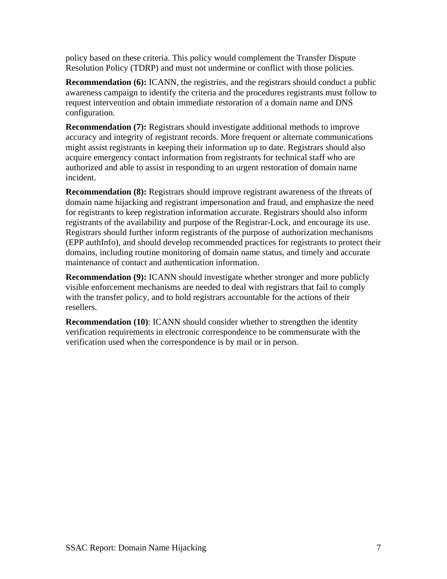policy based on these criteria. This policy would complement the Transfer Dispute Resolution Policy (TDRP) and must not undermine or conflict with those policies.

**Recommendation (6):** ICANN, the registries, and the registrars should conduct a public awareness campaign to identify the criteria and the procedures registrants must follow to request intervention and obtain immediate restoration of a domain name and DNS configuration.

**Recommendation (7):** Registrars should investigate additional methods to improve accuracy and integrity of registrant records. More frequent or alternate communications might assist registrants in keeping their information up to date. Registrars should also acquire emergency contact information from registrants for technical staff who are authorized and able to assist in responding to an urgent restoration of domain name incident.

**Recommendation (8):** Registrars should improve registrant awareness of the threats of domain name hijacking and registrant impersonation and fraud, and emphasize the need for registrants to keep registration information accurate. Registrars should also inform registrants of the availability and purpose of the Registrar-Lock, and encourage its use. Registrars should further inform registrants of the purpose of authorization mechanisms (EPP authInfo), and should develop recommended practices for registrants to protect their domains, including routine monitoring of domain name status, and timely and accurate maintenance of contact and authentication information.

**Recommendation (9):** ICANN should investigate whether stronger and more publicly visible enforcement mechanisms are needed to deal with registrars that fail to comply with the transfer policy, and to hold registrars accountable for the actions of their resellers.

**Recommendation (10)**: ICANN should consider whether to strengthen the identity verification requirements in electronic correspondence to be commensurate with the verification used when the correspondence is by mail or in person.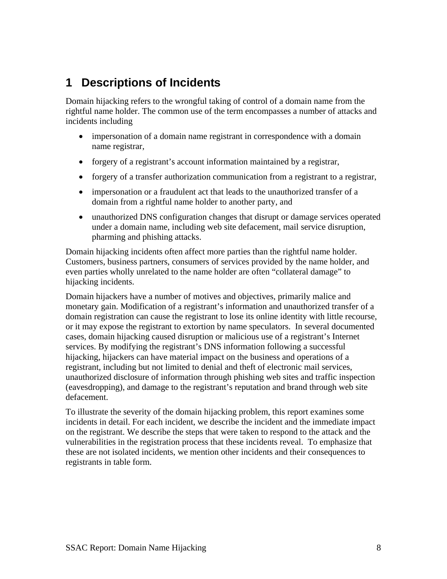## <span id="page-7-0"></span>**1 Descriptions of Incidents**

Domain hijacking refers to the wrongful taking of control of a domain name from the rightful name holder. The common use of the term encompasses a number of attacks and incidents including

- impersonation of a domain name registrant in correspondence with a domain name registrar,
- forgery of a registrant's account information maintained by a registrar,
- forgery of a transfer authorization communication from a registrant to a registrar,
- impersonation or a fraudulent act that leads to the unauthorized transfer of a domain from a rightful name holder to another party, and
- unauthorized DNS configuration changes that disrupt or damage services operated under a domain name, including web site defacement, mail service disruption, pharming and phishing attacks.

Domain hijacking incidents often affect more parties than the rightful name holder. Customers, business partners, consumers of services provided by the name holder, and even parties wholly unrelated to the name holder are often "collateral damage" to hijacking incidents.

Domain hijackers have a number of motives and objectives, primarily malice and monetary gain. Modification of a registrant's information and unauthorized transfer of a domain registration can cause the registrant to lose its online identity with little recourse, or it may expose the registrant to extortion by name speculators. In several documented cases, domain hijacking caused disruption or malicious use of a registrant's Internet services. By modifying the registrant's DNS information following a successful hijacking, hijackers can have material impact on the business and operations of a registrant, including but not limited to denial and theft of electronic mail services, unauthorized disclosure of information through phishing web sites and traffic inspection (eavesdropping), and damage to the registrant's reputation and brand through web site defacement.

To illustrate the severity of the domain hijacking problem, this report examines some incidents in detail. For each incident, we describe the incident and the immediate impact on the registrant. We describe the steps that were taken to respond to the attack and the vulnerabilities in the registration process that these incidents reveal. To emphasize that these are not isolated incidents, we mention other incidents and their consequences to registrants in table form.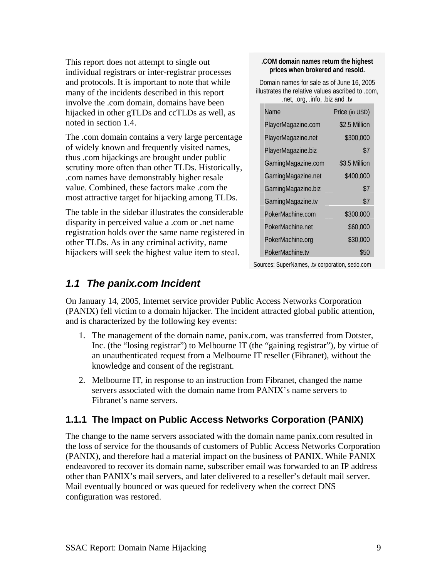<span id="page-8-0"></span>This report does not attempt to single out individual registrars or inter-registrar processes and protocols. It is important to note that while many of the incidents described in this report involve the .com domain, domains have been hijacked in other gTLDs and ccTLDs as well, as noted in section 1.4.

The .com domain contains a very large percentage of widely known and frequently visited names, thus .com hijackings are brought under public scrutiny more often than other TLDs. Historically, .com names have demonstrably higher resale value. Combined, these factors make .com the most attractive target for hijacking among TLDs.

The table in the sidebar illustrates the considerable disparity in perceived value a .com or .net name registration holds over the same name registered in other TLDs. As in any criminal activity, name hijackers will seek the highest value item to steal.

#### **.COM domain names return the highest prices when brokered and resold.**

Domain names for sale as of June 16, 2005 illustrates the relative values ascribed to .com, .net, .org, .info, .biz and .tv

| <b>Name</b>        | Price (in USD) |
|--------------------|----------------|
| PlayerMagazine.com | \$2.5 Million  |
| PlayerMagazine.net | \$300,000      |
| PlayerMagazine.biz | \$7            |
| GamingMagazine.com | \$3.5 Million  |
| GamingMagazine.net | \$400,000      |
| GamingMagazine.biz | \$7            |
| GamingMagazine.tv  | \$7            |
| PokerMachine.com   | \$300,000      |
| PokerMachine net   | \$60,000       |
| PokerMachine.org   | \$30,000       |
| PokerMachine.tv    | \$50           |

Sources: SuperNames, .tv corporation, sedo.com

### *1.1 The panix.com Incident*

On January 14, 2005, Internet service provider Public Access Networks Corporation (PANIX) fell victim to a domain hijacker. The incident attracted global public attention, and is characterized by the following key events:

- 1. The management of the domain name, panix.com, was transferred from Dotster, Inc. (the "losing registrar") to Melbourne IT (the "gaining registrar"), by virtue of an unauthenticated request from a Melbourne IT reseller (Fibranet), without the knowledge and consent of the registrant.
- 2. Melbourne IT, in response to an instruction from Fibranet, changed the name servers associated with the domain name from PANIX's name servers to Fibranet's name servers.

### **1.1.1 The Impact on Public Access Networks Corporation (PANIX)**

The change to the name servers associated with the domain name panix.com resulted in the loss of service for the thousands of customers of Public Access Networks Corporation (PANIX), and therefore had a material impact on the business of PANIX. While PANIX endeavored to recover its domain name, subscriber email was forwarded to an IP address other than PANIX's mail servers, and later delivered to a reseller's default mail server. Mail eventually bounced or was queued for redelivery when the correct DNS configuration was restored.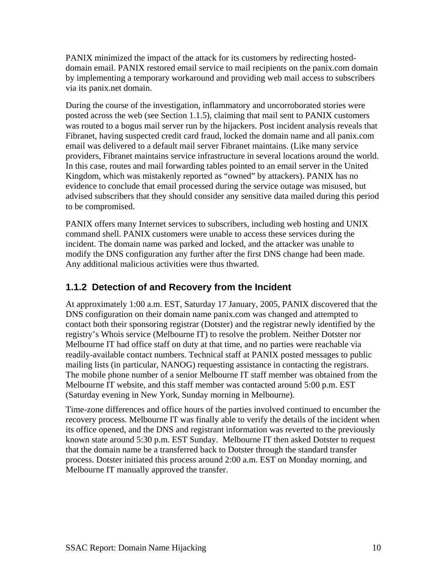<span id="page-9-0"></span>PANIX minimized the impact of the attack for its customers by redirecting hosteddomain email. PANIX restored email service to mail recipients on the panix.com domain by implementing a temporary workaround and providing web mail access to subscribers via its panix.net domain.

During the course of the investigation, inflammatory and uncorroborated stories were posted across the web (see Section 1.1.5), claiming that mail sent to PANIX customers was routed to a bogus mail server run by the hijackers. Post incident analysis reveals that Fibranet, having suspected credit card fraud, locked the domain name and all panix.com email was delivered to a default mail server Fibranet maintains. (Like many service providers, Fibranet maintains service infrastructure in several locations around the world. In this case, routes and mail forwarding tables pointed to an email server in the United Kingdom, which was mistakenly reported as "owned" by attackers). PANIX has no evidence to conclude that email processed during the service outage was misused, but advised subscribers that they should consider any sensitive data mailed during this period to be compromised.

PANIX offers many Internet services to subscribers, including web hosting and UNIX command shell. PANIX customers were unable to access these services during the incident. The domain name was parked and locked, and the attacker was unable to modify the DNS configuration any further after the first DNS change had been made. Any additional malicious activities were thus thwarted.

### **1.1.2 Detection of and Recovery from the Incident**

At approximately 1:00 a.m. EST, Saturday 17 January, 2005, PANIX discovered that the DNS configuration on their domain name panix.com was changed and attempted to contact both their sponsoring registrar (Dotster) and the registrar newly identified by the registry's Whois service (Melbourne IT) to resolve the problem. Neither Dotster nor Melbourne IT had office staff on duty at that time, and no parties were reachable via readily-available contact numbers. Technical staff at PANIX posted messages to public mailing lists (in particular, NANOG) requesting assistance in contacting the registrars. The mobile phone number of a senior Melbourne IT staff member was obtained from the Melbourne IT website, and this staff member was contacted around 5:00 p.m. EST (Saturday evening in New York, Sunday morning in Melbourne).

Time-zone differences and office hours of the parties involved continued to encumber the recovery process. Melbourne IT was finally able to verify the details of the incident when its office opened, and the DNS and registrant information was reverted to the previously known state around 5:30 p.m. EST Sunday. Melbourne IT then asked Dotster to request that the domain name be a transferred back to Dotster through the standard transfer process. Dotster initiated this process around 2:00 a.m. EST on Monday morning, and Melbourne IT manually approved the transfer.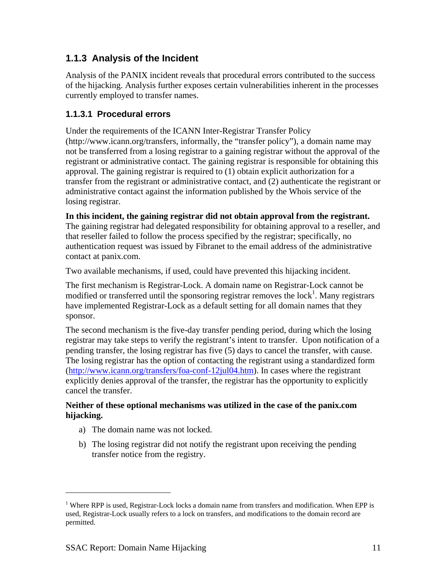### <span id="page-10-0"></span>**1.1.3 Analysis of the Incident**

Analysis of the PANIX incident reveals that procedural errors contributed to the success of the hijacking. Analysis further exposes certain vulnerabilities inherent in the processes currently employed to transfer names.

#### **1.1.3.1 Procedural errors**

Under the requirements of the ICANN Inter-Registrar Transfer Policy (http://www.icann.org/transfers, informally, the "transfer policy"), a domain name may not be transferred from a losing registrar to a gaining registrar without the approval of the registrant or administrative contact. The gaining registrar is responsible for obtaining this approval. The gaining registrar is required to (1) obtain explicit authorization for a transfer from the registrant or administrative contact, and (2) authenticate the registrant or administrative contact against the information published by the Whois service of the losing registrar.

#### **In this incident, the gaining registrar did not obtain approval from the registrant.**

The gaining registrar had delegated responsibility for obtaining approval to a reseller, and that reseller failed to follow the process specified by the registrar; specifically, no authentication request was issued by Fibranet to the email address of the administrative contact at panix.com.

Two available mechanisms, if used, could have prevented this hijacking incident.

The first mechanism is Registrar-Lock. A domain name on Registrar-Lock cannot be modified or transferred until the sponsoring registrar removes the  $lock<sup>1</sup>$  $lock<sup>1</sup>$  $lock<sup>1</sup>$ . Many registrars have implemented Registrar-Lock as a default setting for all domain names that they sponsor.

The second mechanism is the five-day transfer pending period, during which the losing registrar may take steps to verify the registrant's intent to transfer. Upon notification of a pending transfer, the losing registrar has five (5) days to cancel the transfer, with cause. The losing registrar has the option of contacting the registrant using a standardized form ([http://www.icann.org/transfers/foa-conf-12jul04.htm\)](http://www.icann.org/transfers/foa-conf-12jul04.htm). In cases where the registrant explicitly denies approval of the transfer, the registrar has the opportunity to explicitly cancel the transfer.

#### **Neither of these optional mechanisms was utilized in the case of the panix.com hijacking.**

- a) The domain name was not locked.
- b) The losing registrar did not notify the registrant upon receiving the pending transfer notice from the registry.

1

<span id="page-10-1"></span><sup>&</sup>lt;sup>1</sup> Where RPP is used, Registrar-Lock locks a domain name from transfers and modification. When EPP is used, Registrar-Lock usually refers to a lock on transfers, and modifications to the domain record are permitted.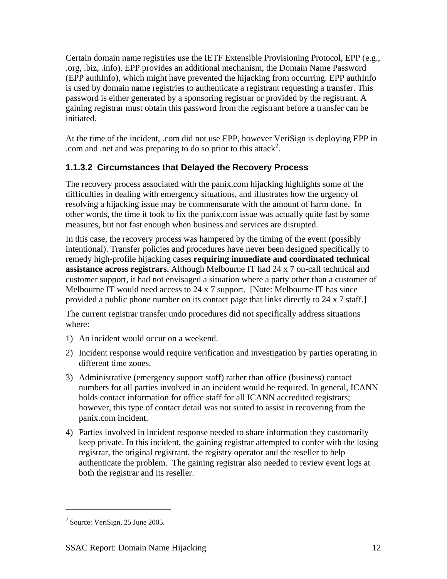Certain domain name registries use the IETF Extensible Provisioning Protocol, EPP (e.g., .org, .biz, .info). EPP provides an additional mechanism, the Domain Name Password (EPP authInfo), which might have prevented the hijacking from occurring. EPP authInfo is used by domain name registries to authenticate a registrant requesting a transfer. This password is either generated by a sponsoring registrar or provided by the registrant. A gaining registrar must obtain this password from the registrant before a transfer can be initiated.

At the time of the incident, .com did not use EPP, however VeriSign is deploying EPP in .com and .net and was preparing to do so prior to this attack<sup>[2](#page-11-0)</sup>.

#### **1.1.3.2 Circumstances that Delayed the Recovery Process**

The recovery process associated with the panix.com hijacking highlights some of the difficulties in dealing with emergency situations, and illustrates how the urgency of resolving a hijacking issue may be commensurate with the amount of harm done. In other words, the time it took to fix the panix.com issue was actually quite fast by some measures, but not fast enough when business and services are disrupted.

In this case, the recovery process was hampered by the timing of the event (possibly intentional). Transfer policies and procedures have never been designed specifically to remedy high-profile hijacking cases **requiring immediate and coordinated technical assistance across registrars.** Although Melbourne IT had 24 x 7 on-call technical and customer support, it had not envisaged a situation where a party other than a customer of Melbourne IT would need access to 24 x 7 support. [Note: Melbourne IT has since provided a public phone number on its contact page that links directly to 24 x 7 staff.]

The current registrar transfer undo procedures did not specifically address situations where:

- 1) An incident would occur on a weekend.
- 2) Incident response would require verification and investigation by parties operating in different time zones.
- 3) Administrative (emergency support staff) rather than office (business) contact numbers for all parties involved in an incident would be required. In general, ICANN holds contact information for office staff for all ICANN accredited registrars; however, this type of contact detail was not suited to assist in recovering from the panix.com incident.
- 4) Parties involved in incident response needed to share information they customarily keep private. In this incident, the gaining registrar attempted to confer with the losing registrar, the original registrant, the registry operator and the reseller to help authenticate the problem. The gaining registrar also needed to review event logs at both the registrar and its reseller.

 $\overline{a}$ 

<span id="page-11-0"></span><sup>&</sup>lt;sup>2</sup> Source: VeriSign, 25 June 2005.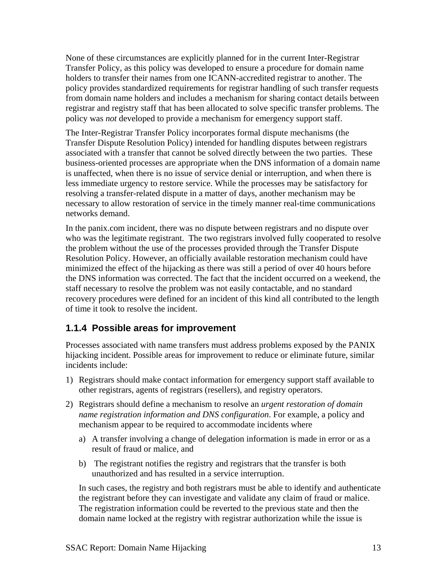<span id="page-12-0"></span>None of these circumstances are explicitly planned for in the current Inter-Registrar Transfer Policy, as this policy was developed to ensure a procedure for domain name holders to transfer their names from one ICANN-accredited registrar to another. The policy provides standardized requirements for registrar handling of such transfer requests from domain name holders and includes a mechanism for sharing contact details between registrar and registry staff that has been allocated to solve specific transfer problems. The policy was *not* developed to provide a mechanism for emergency support staff.

The Inter-Registrar Transfer Policy incorporates formal dispute mechanisms (the Transfer Dispute Resolution Policy) intended for handling disputes between registrars associated with a transfer that cannot be solved directly between the two parties. These business-oriented processes are appropriate when the DNS information of a domain name is unaffected, when there is no issue of service denial or interruption, and when there is less immediate urgency to restore service. While the processes may be satisfactory for resolving a transfer-related dispute in a matter of days, another mechanism may be necessary to allow restoration of service in the timely manner real-time communications networks demand.

In the panix.com incident, there was no dispute between registrars and no dispute over who was the legitimate registrant. The two registrars involved fully cooperated to resolve the problem without the use of the processes provided through the Transfer Dispute Resolution Policy. However, an officially available restoration mechanism could have minimized the effect of the hijacking as there was still a period of over 40 hours before the DNS information was corrected. The fact that the incident occurred on a weekend, the staff necessary to resolve the problem was not easily contactable, and no standard recovery procedures were defined for an incident of this kind all contributed to the length of time it took to resolve the incident.

### **1.1.4 Possible areas for improvement**

Processes associated with name transfers must address problems exposed by the PANIX hijacking incident. Possible areas for improvement to reduce or eliminate future, similar incidents include:

- 1) Registrars should make contact information for emergency support staff available to other registrars, agents of registrars (resellers), and registry operators.
- 2) Registrars should define a mechanism to resolve an *urgent restoration of domain name registration information and DNS configuration*. For example, a policy and mechanism appear to be required to accommodate incidents where
	- a) A transfer involving a change of delegation information is made in error or as a result of fraud or malice, and
	- b) The registrant notifies the registry and registrars that the transfer is both unauthorized and has resulted in a service interruption.

In such cases, the registry and both registrars must be able to identify and authenticate the registrant before they can investigate and validate any claim of fraud or malice. The registration information could be reverted to the previous state and then the domain name locked at the registry with registrar authorization while the issue is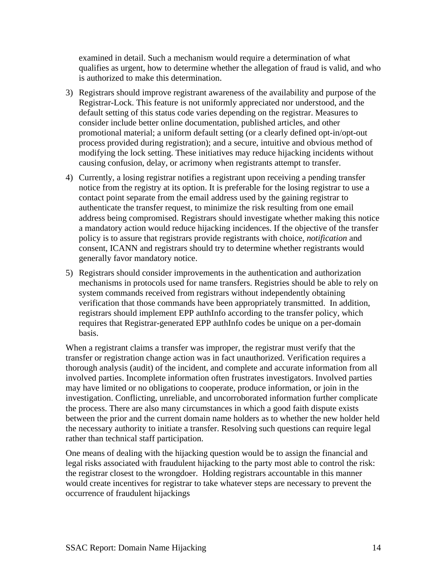examined in detail. Such a mechanism would require a determination of what qualifies as urgent, how to determine whether the allegation of fraud is valid, and who is authorized to make this determination.

- 3) Registrars should improve registrant awareness of the availability and purpose of the Registrar-Lock. This feature is not uniformly appreciated nor understood, and the default setting of this status code varies depending on the registrar. Measures to consider include better online documentation, published articles, and other promotional material; a uniform default setting (or a clearly defined opt-in/opt-out process provided during registration); and a secure, intuitive and obvious method of modifying the lock setting. These initiatives may reduce hijacking incidents without causing confusion, delay, or acrimony when registrants attempt to transfer.
- 4) Currently, a losing registrar notifies a registrant upon receiving a pending transfer notice from the registry at its option. It is preferable for the losing registrar to use a contact point separate from the email address used by the gaining registrar to authenticate the transfer request, to minimize the risk resulting from one email address being compromised. Registrars should investigate whether making this notice a mandatory action would reduce hijacking incidences. If the objective of the transfer policy is to assure that registrars provide registrants with choice, *notification* and consent, ICANN and registrars should try to determine whether registrants would generally favor mandatory notice.
- 5) Registrars should consider improvements in the authentication and authorization mechanisms in protocols used for name transfers. Registries should be able to rely on system commands received from registrars without independently obtaining verification that those commands have been appropriately transmitted. In addition, registrars should implement EPP authInfo according to the transfer policy, which requires that Registrar-generated EPP authInfo codes be unique on a per-domain basis.

When a registrant claims a transfer was improper, the registrar must verify that the transfer or registration change action was in fact unauthorized. Verification requires a thorough analysis (audit) of the incident, and complete and accurate information from all involved parties. Incomplete information often frustrates investigators. Involved parties may have limited or no obligations to cooperate, produce information, or join in the investigation. Conflicting, unreliable, and uncorroborated information further complicate the process. There are also many circumstances in which a good faith dispute exists between the prior and the current domain name holders as to whether the new holder held the necessary authority to initiate a transfer. Resolving such questions can require legal rather than technical staff participation.

One means of dealing with the hijacking question would be to assign the financial and legal risks associated with fraudulent hijacking to the party most able to control the risk: the registrar closest to the wrongdoer. Holding registrars accountable in this manner would create incentives for registrar to take whatever steps are necessary to prevent the occurrence of fraudulent hijackings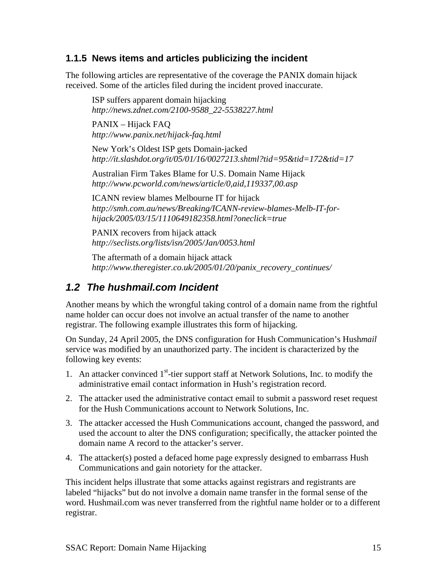#### <span id="page-14-0"></span>**1.1.5 News items and articles publicizing the incident**

The following articles are representative of the coverage the PANIX domain hijack received. Some of the articles filed during the incident proved inaccurate.

ISP suffers apparent domain hijacking *http://news.zdnet.com/2100-9588\_22-5538227.html* 

PANIX – Hijack FAQ *http://www.panix.net/hijack-faq.html* 

New York's Oldest ISP gets Domain-jacked *http://it.slashdot.org/it/05/01/16/0027213.shtml?tid=95&tid=172&tid=17* 

Australian Firm Takes Blame for U.S. Domain Name Hijack *http://www.pcworld.com/news/article/0,aid,119337,00.asp* 

ICANN review blames Melbourne IT for hijack *http://smh.com.au/news/Breaking/ICANN-review-blames-Melb-IT-forhijack/2005/03/15/1110649182358.html?oneclick=true* 

PANIX recovers from hijack attack *http://seclists.org/lists/isn/2005/Jan/0053.html* 

The aftermath of a domain hijack attack *http://www.theregister.co.uk/2005/01/20/panix\_recovery\_continues/* 

### *1.2 The hushmail.com Incident*

Another means by which the wrongful taking control of a domain name from the rightful name holder can occur does not involve an actual transfer of the name to another registrar. The following example illustrates this form of hijacking.

On Sunday, 24 April 2005, the DNS configuration for Hush Communication's Hush*mail* service was modified by an unauthorized party. The incident is characterized by the following key events:

- 1. An attacker convinced  $1<sup>st</sup>$ -tier support staff at Network Solutions, Inc. to modify the administrative email contact information in Hush's registration record.
- 2. The attacker used the administrative contact email to submit a password reset request for the Hush Communications account to Network Solutions, Inc.
- 3. The attacker accessed the Hush Communications account, changed the password, and used the account to alter the DNS configuration; specifically, the attacker pointed the domain name A record to the attacker's server.
- 4. The attacker(s) posted a defaced home page expressly designed to embarrass Hush Communications and gain notoriety for the attacker.

This incident helps illustrate that some attacks against registrars and registrants are labeled "hijacks" but do not involve a domain name transfer in the formal sense of the word. Hushmail.com was never transferred from the rightful name holder or to a different registrar.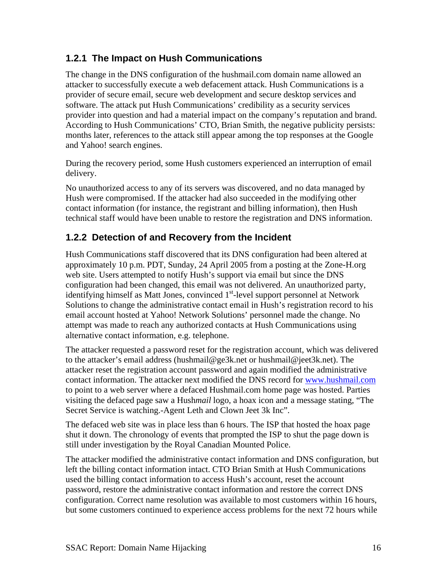### <span id="page-15-0"></span>**1.2.1 The Impact on Hush Communications**

The change in the DNS configuration of the hushmail.com domain name allowed an attacker to successfully execute a web defacement attack. Hush Communications is a provider of secure email, secure web development and secure desktop services and software. The attack put Hush Communications' credibility as a security services provider into question and had a material impact on the company's reputation and brand. According to Hush Communications' CTO, Brian Smith, the negative publicity persists: months later, references to the attack still appear among the top responses at the Google and Yahoo! search engines.

During the recovery period, some Hush customers experienced an interruption of email delivery.

No unauthorized access to any of its servers was discovered, and no data managed by Hush were compromised. If the attacker had also succeeded in the modifying other contact information (for instance, the registrant and billing information), then Hush technical staff would have been unable to restore the registration and DNS information.

### **1.2.2 Detection of and Recovery from the Incident**

Hush Communications staff discovered that its DNS configuration had been altered at approximately 10 p.m. PDT, Sunday, 24 April 2005 from a posting at the Zone-H.org web site. Users attempted to notify Hush's support via email but since the DNS configuration had been changed, this email was not delivered. An unauthorized party, identifying himself as Matt Jones, convinced 1<sup>st</sup>-level support personnel at Network Solutions to change the administrative contact email in Hush's registration record to his email account hosted at Yahoo! Network Solutions' personnel made the change. No attempt was made to reach any authorized contacts at Hush Communications using alternative contact information, e.g. telephone.

The attacker requested a password reset for the registration account, which was delivered to the attacker's email address (hushmail@ge3k.net or hushmail@jeet3k.net). The attacker reset the registration account password and again modified the administrative contact information. The attacker next modified the DNS record for [www.hushmail.com](http://www.hushmail.com/) to point to a web server where a defaced Hushmail.com home page was hosted. Parties visiting the defaced page saw a Hush*mail* logo, a hoax icon and a message stating, "The Secret Service is watching.-Agent Leth and Clown Jeet 3k Inc".

The defaced web site was in place less than 6 hours. The ISP that hosted the hoax page shut it down. The chronology of events that prompted the ISP to shut the page down is still under investigation by the Royal Canadian Mounted Police.

The attacker modified the administrative contact information and DNS configuration, but left the billing contact information intact. CTO Brian Smith at Hush Communications used the billing contact information to access Hush's account, reset the account password, restore the administrative contact information and restore the correct DNS configuration. Correct name resolution was available to most customers within 16 hours, but some customers continued to experience access problems for the next 72 hours while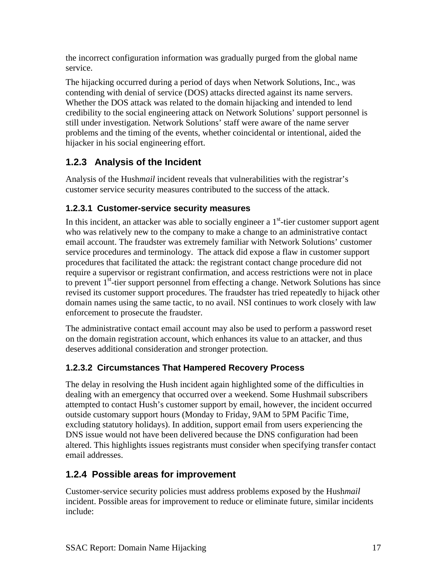<span id="page-16-0"></span>the incorrect configuration information was gradually purged from the global name service.

The hijacking occurred during a period of days when Network Solutions, Inc., was contending with denial of service (DOS) attacks directed against its name servers. Whether the DOS attack was related to the domain hijacking and intended to lend credibility to the social engineering attack on Network Solutions' support personnel is still under investigation. Network Solutions' staff were aware of the name server problems and the timing of the events, whether coincidental or intentional, aided the hijacker in his social engineering effort.

### **1.2.3 Analysis of the Incident**

Analysis of the Hush*mail* incident reveals that vulnerabilities with the registrar's customer service security measures contributed to the success of the attack.

### **1.2.3.1 Customer-service security measures**

In this incident, an attacker was able to socially engineer a  $1<sup>st</sup>$ -tier customer support agent who was relatively new to the company to make a change to an administrative contact email account. The fraudster was extremely familiar with Network Solutions' customer service procedures and terminology. The attack did expose a flaw in customer support procedures that facilitated the attack: the registrant contact change procedure did not require a supervisor or registrant confirmation, and access restrictions were not in place to prevent  $1<sup>st</sup>$ -tier support personnel from effecting a change. Network Solutions has since revised its customer support procedures. The fraudster has tried repeatedly to hijack other domain names using the same tactic, to no avail. NSI continues to work closely with law enforcement to prosecute the fraudster.

The administrative contact email account may also be used to perform a password reset on the domain registration account, which enhances its value to an attacker, and thus deserves additional consideration and stronger protection.

### **1.2.3.2 Circumstances That Hampered Recovery Process**

The delay in resolving the Hush incident again highlighted some of the difficulties in dealing with an emergency that occurred over a weekend. Some Hushmail subscribers attempted to contact Hush's customer support by email, however, the incident occurred outside customary support hours (Monday to Friday, 9AM to 5PM Pacific Time, excluding statutory holidays). In addition, support email from users experiencing the DNS issue would not have been delivered because the DNS configuration had been altered. This highlights issues registrants must consider when specifying transfer contact email addresses.

### **1.2.4 Possible areas for improvement**

Customer-service security policies must address problems exposed by the Hush*mail* incident. Possible areas for improvement to reduce or eliminate future, similar incidents include: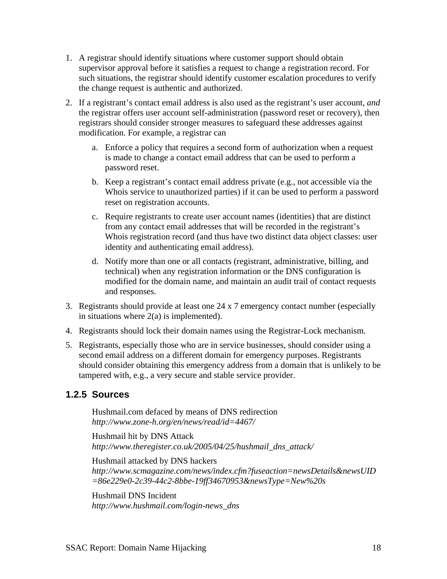- <span id="page-17-0"></span>1. A registrar should identify situations where customer support should obtain supervisor approval before it satisfies a request to change a registration record. For such situations, the registrar should identify customer escalation procedures to verify the change request is authentic and authorized.
- 2. If a registrant's contact email address is also used as the registrant's user account, *and* the registrar offers user account self-administration (password reset or recovery), then registrars should consider stronger measures to safeguard these addresses against modification. For example, a registrar can
	- a. Enforce a policy that requires a second form of authorization when a request is made to change a contact email address that can be used to perform a password reset.
	- b. Keep a registrant's contact email address private (e.g., not accessible via the Whois service to unauthorized parties) if it can be used to perform a password reset on registration accounts.
	- c. Require registrants to create user account names (identities) that are distinct from any contact email addresses that will be recorded in the registrant's Whois registration record (and thus have two distinct data object classes: user identity and authenticating email address).
	- d. Notify more than one or all contacts (registrant, administrative, billing, and technical) when any registration information or the DNS configuration is modified for the domain name, and maintain an audit trail of contact requests and responses.
- 3. Registrants should provide at least one 24 x 7 emergency contact number (especially in situations where  $2(a)$  is implemented).
- 4. Registrants should lock their domain names using the Registrar-Lock mechanism.
- 5. Registrants, especially those who are in service businesses, should consider using a second email address on a different domain for emergency purposes. Registrants should consider obtaining this emergency address from a domain that is unlikely to be tampered with, e.g., a very secure and stable service provider.

### **1.2.5 Sources**

Hushmail.com defaced by means of DNS redirection *http://www.zone-h.org/en/news/read/id=4467/* 

Hushmail hit by DNS Attack *http://www.theregister.co.uk/2005/04/25/hushmail\_dns\_attack/* 

Hushmail attacked by DNS hackers *http://www.scmagazine.com/news/index.cfm?fuseaction=newsDetails&newsUID =86e229e0-2c39-44c2-8bbe-19ff34670953&newsType=New%20s* 

Hushmail DNS Incident *http://www.hushmail.com/login-news\_dns*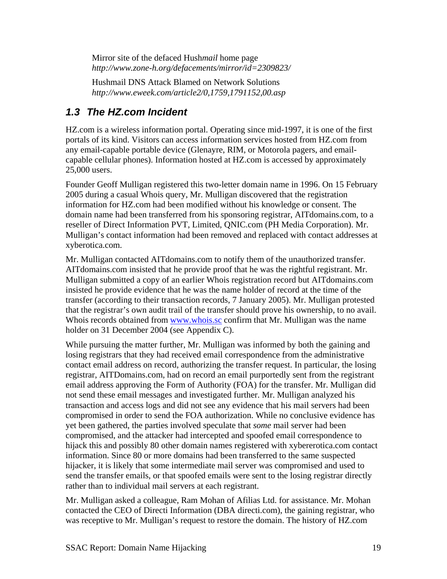<span id="page-18-0"></span>Mirror site of the defaced Hush*mail* home page *http://www.zone-h.org/defacements/mirror/id=2309823/* 

Hushmail DNS Attack Blamed on Network Solutions *http://www.eweek.com/article2/0,1759,1791152,00.asp* 

### *1.3 The HZ.com Incident*

HZ.com is a wireless information portal. Operating since mid-1997, it is one of the first portals of its kind. Visitors can access information services hosted from HZ.com from any email-capable portable device (Glenayre, RIM, or Motorola pagers, and emailcapable cellular phones). Information hosted at HZ.com is accessed by approximately 25,000 users.

Founder Geoff Mulligan registered this two-letter domain name in 1996. On 15 February 2005 during a casual Whois query, Mr. Mulligan discovered that the registration information for HZ.com had been modified without his knowledge or consent. The domain name had been transferred from his sponsoring registrar, AITdomains.com, to a reseller of Direct Information PVT, Limited, QNIC.com (PH Media Corporation). Mr. Mulligan's contact information had been removed and replaced with contact addresses at xyberotica.com.

Mr. Mulligan contacted AITdomains.com to notify them of the unauthorized transfer. AITdomains.com insisted that he provide proof that he was the rightful registrant. Mr. Mulligan submitted a copy of an earlier Whois registration record but AITdomains.com insisted he provide evidence that he was the name holder of record at the time of the transfer (according to their transaction records, 7 January 2005). Mr. Mulligan protested that the registrar's own audit trail of the transfer should prove his ownership, to no avail. Whois records obtained from [www.whois.sc](http://www.whois.sc/) confirm that Mr. Mulligan was the name holder on 31 December 2004 (see Appendix C).

While pursuing the matter further, Mr. Mulligan was informed by both the gaining and losing registrars that they had received email correspondence from the administrative contact email address on record, authorizing the transfer request. In particular, the losing registrar, AITDomains.com, had on record an email purportedly sent from the registrant email address approving the Form of Authority (FOA) for the transfer. Mr. Mulligan did not send these email messages and investigated further. Mr. Mulligan analyzed his transaction and access logs and did not see any evidence that his mail servers had been compromised in order to send the FOA authorization. While no conclusive evidence has yet been gathered, the parties involved speculate that *some* mail server had been compromised, and the attacker had intercepted and spoofed email correspondence to hijack this and possibly 80 other domain names registered with xybererotica.com contact information. Since 80 or more domains had been transferred to the same suspected hijacker, it is likely that some intermediate mail server was compromised and used to send the transfer emails, or that spoofed emails were sent to the losing registrar directly rather than to individual mail servers at each registrant.

Mr. Mulligan asked a colleague, Ram Mohan of Afilias Ltd. for assistance. Mr. Mohan contacted the CEO of Directi Information (DBA directi.com), the gaining registrar, who was receptive to Mr. Mulligan's request to restore the domain. The history of HZ.com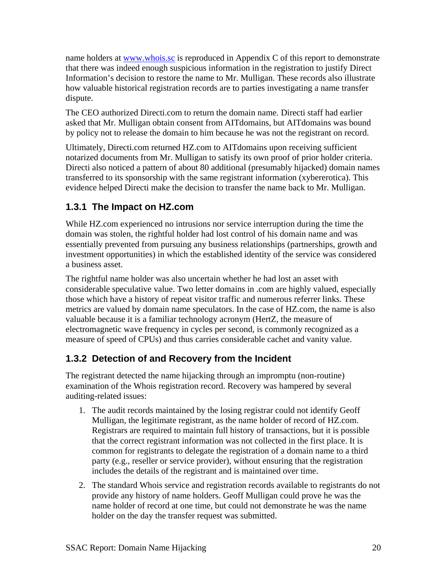<span id="page-19-0"></span>name holders at [www.whois.sc](http://www.whois.sc/) is reproduced in Appendix C of this report to demonstrate that there was indeed enough suspicious information in the registration to justify Direct Information's decision to restore the name to Mr. Mulligan. These records also illustrate how valuable historical registration records are to parties investigating a name transfer dispute.

The CEO authorized Directi.com to return the domain name. Directi staff had earlier asked that Mr. Mulligan obtain consent from AITdomains, but AITdomains was bound by policy not to release the domain to him because he was not the registrant on record.

Ultimately, Directi.com returned HZ.com to AITdomains upon receiving sufficient notarized documents from Mr. Mulligan to satisfy its own proof of prior holder criteria. Directi also noticed a pattern of about 80 additional (presumably hijacked) domain names transferred to its sponsorship with the same registrant information (xybererotica). This evidence helped Directi make the decision to transfer the name back to Mr. Mulligan.

### **1.3.1 The Impact on HZ.com**

While HZ.com experienced no intrusions nor service interruption during the time the domain was stolen, the rightful holder had lost control of his domain name and was essentially prevented from pursuing any business relationships (partnerships, growth and investment opportunities) in which the established identity of the service was considered a business asset.

The rightful name holder was also uncertain whether he had lost an asset with considerable speculative value. Two letter domains in .com are highly valued, especially those which have a history of repeat visitor traffic and numerous referrer links. These metrics are valued by domain name speculators. In the case of HZ.com, the name is also valuable because it is a familiar technology acronym (HertZ, the measure of electromagnetic wave frequency in cycles per second, is commonly recognized as a measure of speed of CPUs) and thus carries considerable cachet and vanity value.

### **1.3.2 Detection of and Recovery from the Incident**

The registrant detected the name hijacking through an impromptu (non-routine) examination of the Whois registration record. Recovery was hampered by several auditing-related issues:

- 1. The audit records maintained by the losing registrar could not identify Geoff Mulligan, the legitimate registrant, as the name holder of record of HZ.com. Registrars are required to maintain full history of transactions, but it is possible that the correct registrant information was not collected in the first place. It is common for registrants to delegate the registration of a domain name to a third party (e.g., reseller or service provider), without ensuring that the registration includes the details of the registrant and is maintained over time.
- 2. The standard Whois service and registration records available to registrants do not provide any history of name holders. Geoff Mulligan could prove he was the name holder of record at one time, but could not demonstrate he was the name holder on the day the transfer request was submitted.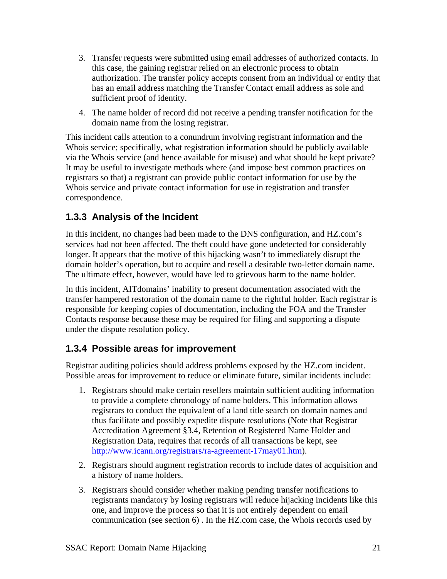- <span id="page-20-0"></span>3. Transfer requests were submitted using email addresses of authorized contacts. In this case, the gaining registrar relied on an electronic process to obtain authorization. The transfer policy accepts consent from an individual or entity that has an email address matching the Transfer Contact email address as sole and sufficient proof of identity.
- 4. The name holder of record did not receive a pending transfer notification for the domain name from the losing registrar.

This incident calls attention to a conundrum involving registrant information and the Whois service; specifically, what registration information should be publicly available via the Whois service (and hence available for misuse) and what should be kept private? It may be useful to investigate methods where (and impose best common practices on registrars so that) a registrant can provide public contact information for use by the Whois service and private contact information for use in registration and transfer correspondence.

### **1.3.3 Analysis of the Incident**

In this incident, no changes had been made to the DNS configuration, and HZ.com's services had not been affected. The theft could have gone undetected for considerably longer. It appears that the motive of this hijacking wasn't to immediately disrupt the domain holder's operation, but to acquire and resell a desirable two-letter domain name. The ultimate effect, however, would have led to grievous harm to the name holder.

In this incident, AITdomains' inability to present documentation associated with the transfer hampered restoration of the domain name to the rightful holder. Each registrar is responsible for keeping copies of documentation, including the FOA and the Transfer Contacts response because these may be required for filing and supporting a dispute under the dispute resolution policy.

### **1.3.4 Possible areas for improvement**

Registrar auditing policies should address problems exposed by the HZ.com incident. Possible areas for improvement to reduce or eliminate future, similar incidents include:

- 1. Registrars should make certain resellers maintain sufficient auditing information to provide a complete chronology of name holders. This information allows registrars to conduct the equivalent of a land title search on domain names and thus facilitate and possibly expedite dispute resolutions (Note that Registrar Accreditation Agreement §3.4, Retention of Registered Name Holder and Registration Data, requires that records of all transactions be kept, see [http://www.icann.org/registrars/ra-agreement-17may01.htm\)](http://www.icann.org/registrars/ra-agreement-17may01.htm).
- 2. Registrars should augment registration records to include dates of acquisition and a history of name holders.
- 3. Registrars should consider whether making pending transfer notifications to registrants mandatory by losing registrars will reduce hijacking incidents like this one, and improve the process so that it is not entirely dependent on email communication (see section 6) . In the HZ.com case, the Whois records used by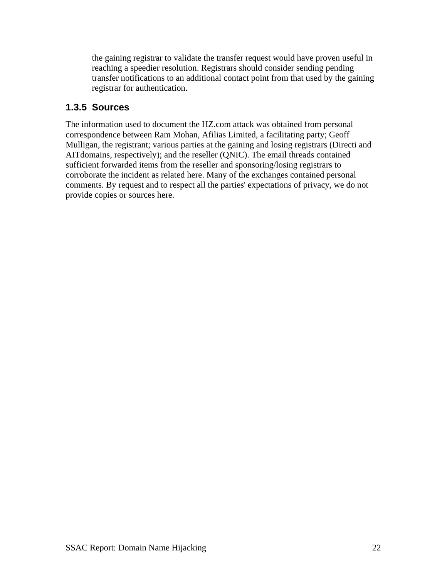<span id="page-21-0"></span>the gaining registrar to validate the transfer request would have proven useful in reaching a speedier resolution. Registrars should consider sending pending transfer notifications to an additional contact point from that used by the gaining registrar for authentication.

### **1.3.5 Sources**

The information used to document the HZ.com attack was obtained from personal correspondence between Ram Mohan, Afilias Limited, a facilitating party; Geoff Mulligan, the registrant; various parties at the gaining and losing registrars (Directi and AITdomains, respectively); and the reseller (QNIC). The email threads contained sufficient forwarded items from the reseller and sponsoring/losing registrars to corroborate the incident as related here. Many of the exchanges contained personal comments. By request and to respect all the parties' expectations of privacy, we do not provide copies or sources here.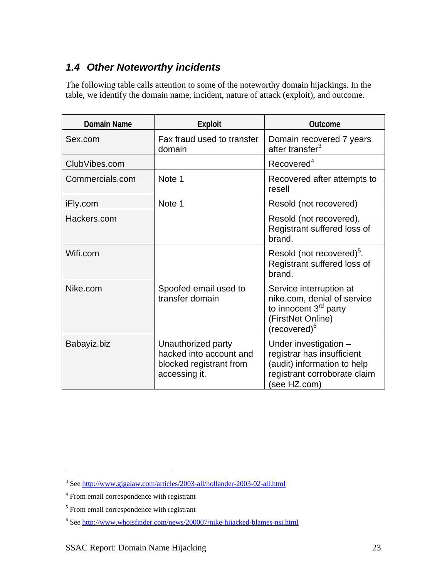## <span id="page-22-0"></span>*1.4 Other Noteworthy incidents*

The following table calls attention to some of the noteworthy domain hijackings. In the table, we identify the domain name, incident, nature of attack (exploit), and outcome.

| <b>Domain Name</b> | <b>Exploit</b>                                                                            | <b>Outcome</b>                                                                                                                               |
|--------------------|-------------------------------------------------------------------------------------------|----------------------------------------------------------------------------------------------------------------------------------------------|
| Sex.com            | Fax fraud used to transfer<br>domain                                                      | Domain recovered 7 years<br>after transfer <sup>3</sup>                                                                                      |
| ClubVibes.com      |                                                                                           | Recovered <sup>4</sup>                                                                                                                       |
| Commercials.com    | Note 1                                                                                    | Recovered after attempts to<br>resell                                                                                                        |
| iFly.com           | Note 1                                                                                    | Resold (not recovered)                                                                                                                       |
| Hackers.com        |                                                                                           | Resold (not recovered).<br>Registrant suffered loss of<br>brand.                                                                             |
| Wifi.com           |                                                                                           | Resold (not recovered) <sup>5</sup> .<br>Registrant suffered loss of<br>brand.                                                               |
| Nike.com           | Spoofed email used to<br>transfer domain                                                  | Service interruption at<br>nike.com, denial of service<br>to innocent 3 <sup>rd</sup> party<br>(FirstNet Online)<br>(recovered) <sup>6</sup> |
| Babayiz.biz        | Unauthorized party<br>hacked into account and<br>blocked registrant from<br>accessing it. | Under investigation -<br>registrar has insufficient<br>(audit) information to help<br>registrant corroborate claim<br>(see HZ.com)           |

 $\overline{a}$ 

<span id="page-22-1"></span><sup>&</sup>lt;sup>3</sup> See <http://www.gigalaw.com/articles/2003-all/hollander-2003-02-all.html>

<span id="page-22-2"></span><sup>&</sup>lt;sup>4</sup> From email correspondence with registrant

<span id="page-22-3"></span><sup>&</sup>lt;sup>5</sup> From email correspondence with registrant

<span id="page-22-4"></span><sup>&</sup>lt;sup>6</sup> See <http://www.whoisfinder.com/news/200007/nike-hijacked-blames-nsi.html>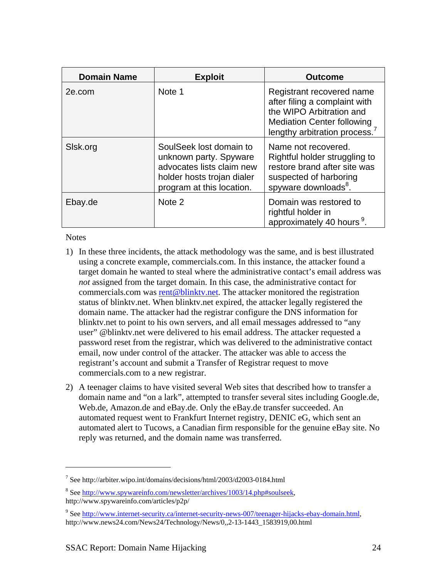| <b>Domain Name</b> | <b>Exploit</b>                                                                                                                            | <b>Outcome</b>                                                                                                                                              |
|--------------------|-------------------------------------------------------------------------------------------------------------------------------------------|-------------------------------------------------------------------------------------------------------------------------------------------------------------|
| 2e.com             | Note 1                                                                                                                                    | Registrant recovered name<br>after filing a complaint with<br>the WIPO Arbitration and<br><b>Mediation Center following</b><br>lengthy arbitration process. |
| Sisk.org           | SoulSeek lost domain to<br>unknown party. Spyware<br>advocates lists claim new<br>holder hosts trojan dialer<br>program at this location. | Name not recovered.<br>Rightful holder struggling to<br>restore brand after site was<br>suspected of harboring<br>spyware downloads <sup>8</sup> .          |
| Ebay.de            | Note 2                                                                                                                                    | Domain was restored to<br>rightful holder in<br>approximately 40 hours <sup>9</sup> .                                                                       |

**Notes** 

 $\overline{a}$ 

- 1) In these three incidents, the attack methodology was the same, and is best illustrated using a concrete example, commercials.com. In this instance, the attacker found a target domain he wanted to steal where the administrative contact's email address was *not* assigned from the target domain. In this case, the administrative contact for commercials.com was [rent@blinktv.net.](mailto:rent@blinktv.net) The attacker monitored the registration status of blinktv.net. When blinktv.net expired, the attacker legally registered the domain name. The attacker had the registrar configure the DNS information for blinktv.net to point to his own servers, and all email messages addressed to "any user" @blinktv.net were delivered to his email address. The attacker requested a password reset from the registrar, which was delivered to the administrative contact email, now under control of the attacker. The attacker was able to access the registrant's account and submit a Transfer of Registrar request to move commercials.com to a new registrar.
- 2) A teenager claims to have visited several Web sites that described how to transfer a domain name and "on a lark", attempted to transfer several sites including Google.de, Web.de, Amazon.de and eBay.de. Only the eBay.de transfer succeeded. An automated request went to Frankfurt Internet registry, DENIC eG, which sent an automated alert to Tucows, a Canadian firm responsible for the genuine eBay site. No reply was returned, and the domain name was transferred.

<span id="page-23-0"></span><sup>&</sup>lt;sup>7</sup> See http://arbiter.wipo.int/domains/decisions/html/2003/d2003-0184.html

<span id="page-23-1"></span><sup>&</sup>lt;sup>8</sup> See http://www.spywareinfo.com/newsletter/archives/1003/14.php#soulseek, http://www.spywareinfo.com/articles/p2p/

<span id="page-23-2"></span><sup>&</sup>lt;sup>9</sup> See [http://www.internet-security.ca/internet-security-news-007/teenager-hijacks-ebay-domain.html,](http://www.internet-security.ca/internet-security-news-007/teenager-hijacks-ebay-domain.html) http://www.news24.com/News24/Technology/News/0,,2-13-1443\_1583919,00.html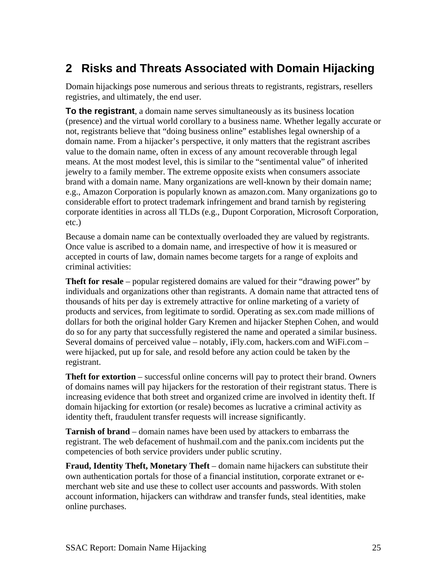# <span id="page-24-0"></span>**2 Risks and Threats Associated with Domain Hijacking**

Domain hijackings pose numerous and serious threats to registrants, registrars, resellers registries, and ultimately, the end user.

**To the registrant**, a domain name serves simultaneously as its business location (presence) and the virtual world corollary to a business name. Whether legally accurate or not, registrants believe that "doing business online" establishes legal ownership of a domain name. From a hijacker's perspective, it only matters that the registrant ascribes value to the domain name, often in excess of any amount recoverable through legal means. At the most modest level, this is similar to the "sentimental value" of inherited jewelry to a family member. The extreme opposite exists when consumers associate brand with a domain name. Many organizations are well-known by their domain name; e.g., Amazon Corporation is popularly known as amazon.com. Many organizations go to considerable effort to protect trademark infringement and brand tarnish by registering corporate identities in across all TLDs (e.g., Dupont Corporation, Microsoft Corporation, etc.)

Because a domain name can be contextually overloaded they are valued by registrants. Once value is ascribed to a domain name, and irrespective of how it is measured or accepted in courts of law, domain names become targets for a range of exploits and criminal activities:

**Theft for resale** – popular registered domains are valued for their "drawing power" by individuals and organizations other than registrants. A domain name that attracted tens of thousands of hits per day is extremely attractive for online marketing of a variety of products and services, from legitimate to sordid. Operating as sex.com made millions of dollars for both the original holder Gary Kremen and hijacker Stephen Cohen, and would do so for any party that successfully registered the name and operated a similar business. Several domains of perceived value – notably, iFly.com, hackers.com and WiFi.com – were hijacked, put up for sale, and resold before any action could be taken by the registrant.

**Theft for extortion** – successful online concerns will pay to protect their brand. Owners of domains names will pay hijackers for the restoration of their registrant status. There is increasing evidence that both street and organized crime are involved in identity theft. If domain hijacking for extortion (or resale) becomes as lucrative a criminal activity as identity theft, fraudulent transfer requests will increase significantly.

**Tarnish of brand** – domain names have been used by attackers to embarrass the registrant. The web defacement of hushmail.com and the panix.com incidents put the competencies of both service providers under public scrutiny.

**Fraud, Identity Theft, Monetary Theft** – domain name hijackers can substitute their own authentication portals for those of a financial institution, corporate extranet or emerchant web site and use these to collect user accounts and passwords. With stolen account information, hijackers can withdraw and transfer funds, steal identities, make online purchases.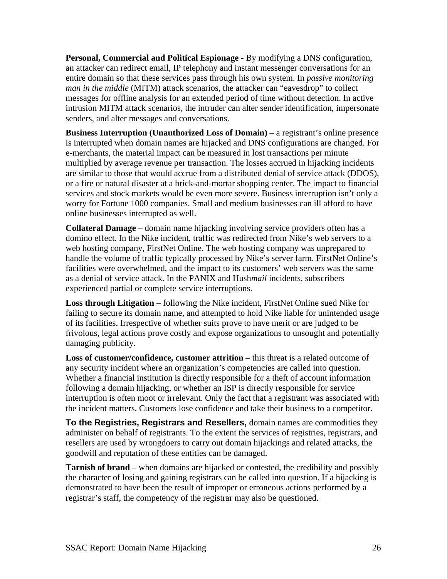**Personal, Commercial and Political Espionage** - By modifying a DNS configuration, an attacker can redirect email, IP telephony and instant messenger conversations for an entire domain so that these services pass through his own system. In *passive monitoring man in the middle* (MITM) attack scenarios, the attacker can "eavesdrop" to collect messages for offline analysis for an extended period of time without detection. In active intrusion MITM attack scenarios, the intruder can alter sender identification, impersonate senders, and alter messages and conversations.

**Business Interruption (Unauthorized Loss of Domain)** – a registrant's online presence is interrupted when domain names are hijacked and DNS configurations are changed. For e-merchants, the material impact can be measured in lost transactions per minute multiplied by average revenue per transaction. The losses accrued in hijacking incidents are similar to those that would accrue from a distributed denial of service attack (DDOS), or a fire or natural disaster at a brick-and-mortar shopping center. The impact to financial services and stock markets would be even more severe. Business interruption isn't only a worry for Fortune 1000 companies. Small and medium businesses can ill afford to have online businesses interrupted as well.

**Collateral Damage** – domain name hijacking involving service providers often has a domino effect. In the Nike incident, traffic was redirected from Nike's web servers to a web hosting company, FirstNet Online. The web hosting company was unprepared to handle the volume of traffic typically processed by Nike's server farm. FirstNet Online's facilities were overwhelmed, and the impact to its customers' web servers was the same as a denial of service attack. In the PANIX and Hush*mail* incidents, subscribers experienced partial or complete service interruptions.

**Loss through Litigation** – following the Nike incident, FirstNet Online sued Nike for failing to secure its domain name, and attempted to hold Nike liable for unintended usage of its facilities. Irrespective of whether suits prove to have merit or are judged to be frivolous, legal actions prove costly and expose organizations to unsought and potentially damaging publicity.

**Loss of customer/confidence, customer attrition** – this threat is a related outcome of any security incident where an organization's competencies are called into question. Whether a financial institution is directly responsible for a theft of account information following a domain hijacking, or whether an ISP is directly responsible for service interruption is often moot or irrelevant. Only the fact that a registrant was associated with the incident matters. Customers lose confidence and take their business to a competitor.

**To the Registries, Registrars and Resellers,** domain names are commodities they administer on behalf of registrants. To the extent the services of registries, registrars, and resellers are used by wrongdoers to carry out domain hijackings and related attacks, the goodwill and reputation of these entities can be damaged.

**Tarnish of brand** – when domains are hijacked or contested, the credibility and possibly the character of losing and gaining registrars can be called into question. If a hijacking is demonstrated to have been the result of improper or erroneous actions performed by a registrar's staff, the competency of the registrar may also be questioned.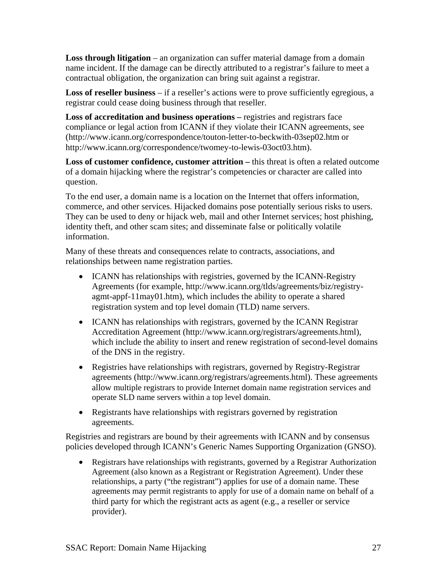**Loss through litigation** – an organization can suffer material damage from a domain name incident. If the damage can be directly attributed to a registrar's failure to meet a contractual obligation, the organization can bring suit against a registrar.

**Loss of reseller business** – if a reseller's actions were to prove sufficiently egregious, a registrar could cease doing business through that reseller.

**Loss of accreditation and business operations – registries and registrars face** compliance or legal action from ICANN if they violate their ICANN agreements, see (http://www.icann.org/correspondence/touton-letter-to-beckwith-03sep02.htm or http://www.icann.org/correspondence/twomey-to-lewis-03oct03.htm).

**Loss of customer confidence, customer attrition –** this threat is often a related outcome of a domain hijacking where the registrar's competencies or character are called into question.

To the end user, a domain name is a location on the Internet that offers information, commerce, and other services. Hijacked domains pose potentially serious risks to users. They can be used to deny or hijack web, mail and other Internet services; host phishing, identity theft, and other scam sites; and disseminate false or politically volatile information.

Many of these threats and consequences relate to contracts, associations, and relationships between name registration parties.

- ICANN has relationships with registries, governed by the ICANN-Registry Agreements (for example, http://www.icann.org/tlds/agreements/biz/registryagmt-appf-11may01.htm), which includes the ability to operate a shared registration system and top level domain (TLD) name servers.
- ICANN has relationships with registrars, governed by the ICANN Registrar Accreditation Agreement (http://www.icann.org/registrars/agreements.html), which include the ability to insert and renew registration of second-level domains of the DNS in the registry.
- Registries have relationships with registrars, governed by Registry-Registrar agreements (http://www.icann.org/registrars/agreements.html). These agreements allow multiple registrars to provide Internet domain name registration services and operate SLD name servers within a top level domain.
- Registrants have relationships with registrars governed by registration agreements.

Registries and registrars are bound by their agreements with ICANN and by consensus policies developed through ICANN's Generic Names Supporting Organization (GNSO).

• Registrars have relationships with registrants, governed by a Registrar Authorization Agreement (also known as a Registrant or Registration Agreement). Under these relationships, a party ("the registrant") applies for use of a domain name. These agreements may permit registrants to apply for use of a domain name on behalf of a third party for which the registrant acts as agent (e.g., a reseller or service provider).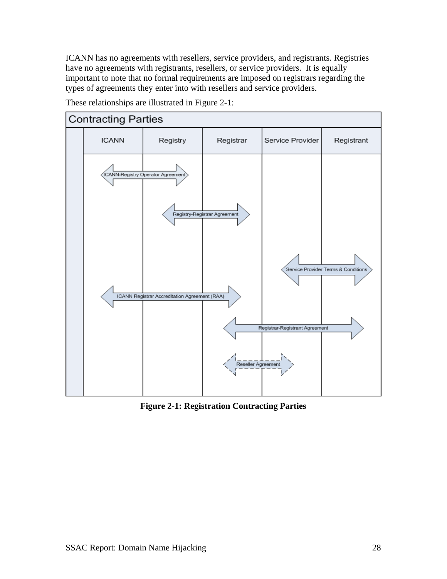ICANN has no agreements with resellers, service providers, and registrants. Registries have no agreements with registrants, resellers, or service providers. It is equally important to note that no formal requirements are imposed on registrars regarding the types of agreements they enter into with resellers and service providers.



These relationships are illustrated in Figure 2-1:

**Figure 2-1: Registration Contracting Parties**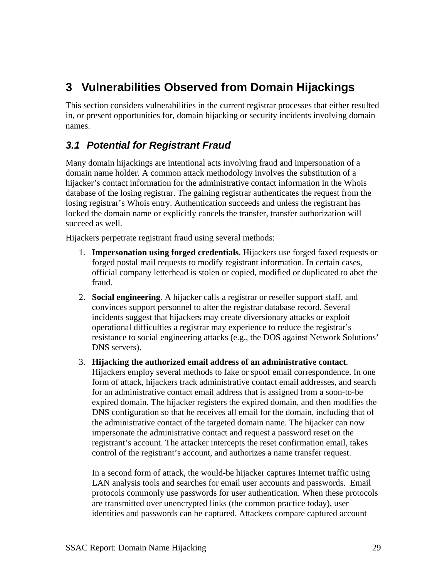# <span id="page-28-0"></span>**3 Vulnerabilities Observed from Domain Hijackings**

This section considers vulnerabilities in the current registrar processes that either resulted in, or present opportunities for, domain hijacking or security incidents involving domain names.

### *3.1 Potential for Registrant Fraud*

Many domain hijackings are intentional acts involving fraud and impersonation of a domain name holder. A common attack methodology involves the substitution of a hijacker's contact information for the administrative contact information in the Whois database of the losing registrar. The gaining registrar authenticates the request from the losing registrar's Whois entry. Authentication succeeds and unless the registrant has locked the domain name or explicitly cancels the transfer, transfer authorization will succeed as well.

Hijackers perpetrate registrant fraud using several methods:

- 1. **Impersonation using forged credentials**. Hijackers use forged faxed requests or forged postal mail requests to modify registrant information. In certain cases, official company letterhead is stolen or copied, modified or duplicated to abet the fraud.
- 2. **Social engineering**. A hijacker calls a registrar or reseller support staff, and convinces support personnel to alter the registrar database record. Several incidents suggest that hijackers may create diversionary attacks or exploit operational difficulties a registrar may experience to reduce the registrar's resistance to social engineering attacks (e.g., the DOS against Network Solutions' DNS servers).
- 3. **Hijacking the authorized email address of an administrative contact**. Hijackers employ several methods to fake or spoof email correspondence. In one form of attack, hijackers track administrative contact email addresses, and search for an administrative contact email address that is assigned from a soon-to-be expired domain. The hijacker registers the expired domain, and then modifies the DNS configuration so that he receives all email for the domain, including that of the administrative contact of the targeted domain name. The hijacker can now impersonate the administrative contact and request a password reset on the registrant's account. The attacker intercepts the reset confirmation email, takes control of the registrant's account, and authorizes a name transfer request.

In a second form of attack, the would-be hijacker captures Internet traffic using LAN analysis tools and searches for email user accounts and passwords. Email protocols commonly use passwords for user authentication. When these protocols are transmitted over unencrypted links (the common practice today), user identities and passwords can be captured. Attackers compare captured account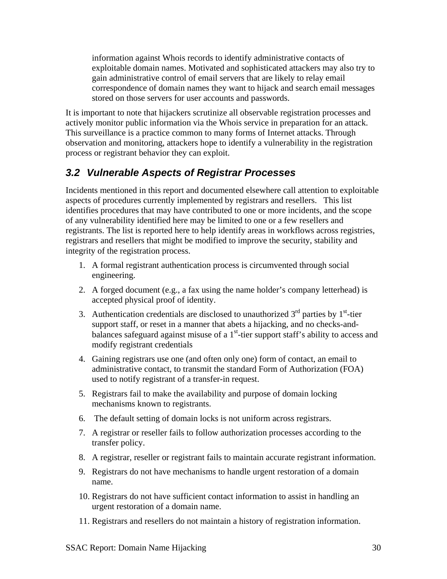<span id="page-29-0"></span>information against Whois records to identify administrative contacts of exploitable domain names. Motivated and sophisticated attackers may also try to gain administrative control of email servers that are likely to relay email correspondence of domain names they want to hijack and search email messages stored on those servers for user accounts and passwords.

It is important to note that hijackers scrutinize all observable registration processes and actively monitor public information via the Whois service in preparation for an attack. This surveillance is a practice common to many forms of Internet attacks. Through observation and monitoring, attackers hope to identify a vulnerability in the registration process or registrant behavior they can exploit.

### *3.2 Vulnerable Aspects of Registrar Processes*

Incidents mentioned in this report and documented elsewhere call attention to exploitable aspects of procedures currently implemented by registrars and resellers. This list identifies procedures that may have contributed to one or more incidents, and the scope of any vulnerability identified here may be limited to one or a few resellers and registrants. The list is reported here to help identify areas in workflows across registries, registrars and resellers that might be modified to improve the security, stability and integrity of the registration process.

- 1. A formal registrant authentication process is circumvented through social engineering.
- 2. A forged document (e.g., a fax using the name holder's company letterhead) is accepted physical proof of identity.
- 3. Authentication credentials are disclosed to unauthorized  $3<sup>rd</sup>$  parties by  $1<sup>st</sup>$ -tier support staff, or reset in a manner that abets a hijacking, and no checks-andbalances safeguard against misuse of a  $1<sup>st</sup>$ -tier support staff's ability to access and modify registrant credentials
- 4. Gaining registrars use one (and often only one) form of contact, an email to administrative contact, to transmit the standard Form of Authorization (FOA) used to notify registrant of a transfer-in request.
- 5. Registrars fail to make the availability and purpose of domain locking mechanisms known to registrants.
- 6. The default setting of domain locks is not uniform across registrars.
- 7. A registrar or reseller fails to follow authorization processes according to the transfer policy.
- 8. A registrar, reseller or registrant fails to maintain accurate registrant information.
- 9. Registrars do not have mechanisms to handle urgent restoration of a domain name.
- 10. Registrars do not have sufficient contact information to assist in handling an urgent restoration of a domain name.
- 11. Registrars and resellers do not maintain a history of registration information.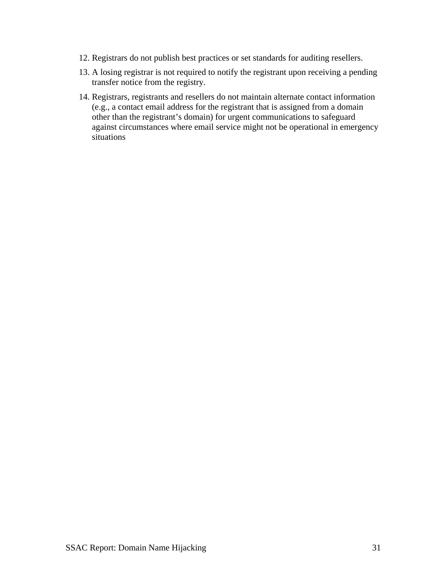- 12. Registrars do not publish best practices or set standards for auditing resellers.
- 13. A losing registrar is not required to notify the registrant upon receiving a pending transfer notice from the registry.
- 14. Registrars, registrants and resellers do not maintain alternate contact information (e.g., a contact email address for the registrant that is assigned from a domain other than the registrant's domain) for urgent communications to safeguard against circumstances where email service might not be operational in emergency situations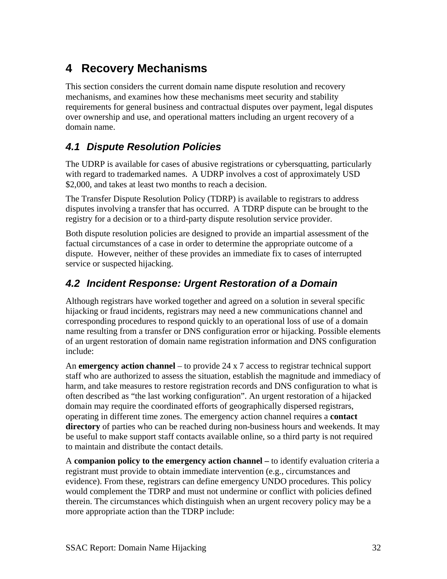# <span id="page-31-0"></span>**4 Recovery Mechanisms**

This section considers the current domain name dispute resolution and recovery mechanisms, and examines how these mechanisms meet security and stability requirements for general business and contractual disputes over payment, legal disputes over ownership and use, and operational matters including an urgent recovery of a domain name.

### *4.1 Dispute Resolution Policies*

The UDRP is available for cases of abusive registrations or cybersquatting, particularly with regard to trademarked names. A UDRP involves a cost of approximately USD \$2,000, and takes at least two months to reach a decision.

The Transfer Dispute Resolution Policy (TDRP) is available to registrars to address disputes involving a transfer that has occurred. A TDRP dispute can be brought to the registry for a decision or to a third-party dispute resolution service provider.

Both dispute resolution policies are designed to provide an impartial assessment of the factual circumstances of a case in order to determine the appropriate outcome of a dispute. However, neither of these provides an immediate fix to cases of interrupted service or suspected hijacking.

### *4.2 Incident Response: Urgent Restoration of a Domain*

Although registrars have worked together and agreed on a solution in several specific hijacking or fraud incidents, registrars may need a new communications channel and corresponding procedures to respond quickly to an operational loss of use of a domain name resulting from a transfer or DNS configuration error or hijacking. Possible elements of an urgent restoration of domain name registration information and DNS configuration include:

An **emergency action channel** – to provide 24 x 7 access to registrar technical support staff who are authorized to assess the situation, establish the magnitude and immediacy of harm, and take measures to restore registration records and DNS configuration to what is often described as "the last working configuration". An urgent restoration of a hijacked domain may require the coordinated efforts of geographically dispersed registrars, operating in different time zones. The emergency action channel requires a **contact directory** of parties who can be reached during non-business hours and weekends. It may be useful to make support staff contacts available online, so a third party is not required to maintain and distribute the contact details.

A **companion policy to the emergency action channel –** to identify evaluation criteria a registrant must provide to obtain immediate intervention (e.g., circumstances and evidence). From these, registrars can define emergency UNDO procedures. This policy would complement the TDRP and must not undermine or conflict with policies defined therein. The circumstances which distinguish when an urgent recovery policy may be a more appropriate action than the TDRP include: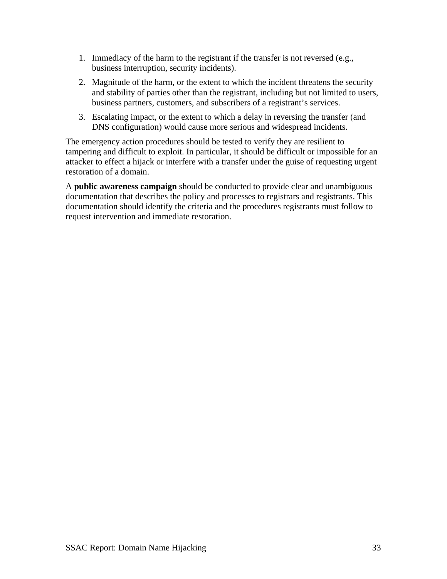- 1. Immediacy of the harm to the registrant if the transfer is not reversed (e.g., business interruption, security incidents).
- 2. Magnitude of the harm, or the extent to which the incident threatens the security and stability of parties other than the registrant, including but not limited to users, business partners, customers, and subscribers of a registrant's services.
- 3. Escalating impact, or the extent to which a delay in reversing the transfer (and DNS configuration) would cause more serious and widespread incidents.

The emergency action procedures should be tested to verify they are resilient to tampering and difficult to exploit. In particular, it should be difficult or impossible for an attacker to effect a hijack or interfere with a transfer under the guise of requesting urgent restoration of a domain.

A **public awareness campaign** should be conducted to provide clear and unambiguous documentation that describes the policy and processes to registrars and registrants. This documentation should identify the criteria and the procedures registrants must follow to request intervention and immediate restoration.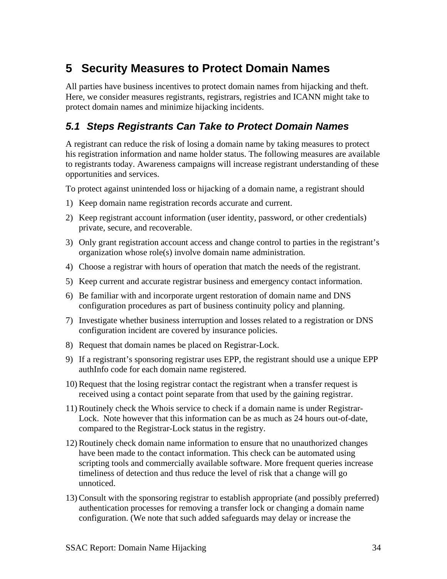# <span id="page-33-0"></span>**5 Security Measures to Protect Domain Names**

All parties have business incentives to protect domain names from hijacking and theft. Here, we consider measures registrants, registrars, registries and ICANN might take to protect domain names and minimize hijacking incidents.

### *5.1 Steps Registrants Can Take to Protect Domain Names*

A registrant can reduce the risk of losing a domain name by taking measures to protect his registration information and name holder status. The following measures are available to registrants today. Awareness campaigns will increase registrant understanding of these opportunities and services.

To protect against unintended loss or hijacking of a domain name, a registrant should

- 1) Keep domain name registration records accurate and current.
- 2) Keep registrant account information (user identity, password, or other credentials) private, secure, and recoverable.
- 3) Only grant registration account access and change control to parties in the registrant's organization whose role(s) involve domain name administration.
- 4) Choose a registrar with hours of operation that match the needs of the registrant.
- 5) Keep current and accurate registrar business and emergency contact information.
- 6) Be familiar with and incorporate urgent restoration of domain name and DNS configuration procedures as part of business continuity policy and planning.
- 7) Investigate whether business interruption and losses related to a registration or DNS configuration incident are covered by insurance policies.
- 8) Request that domain names be placed on Registrar-Lock.
- 9) If a registrant's sponsoring registrar uses EPP, the registrant should use a unique EPP authInfo code for each domain name registered.
- 10) Request that the losing registrar contact the registrant when a transfer request is received using a contact point separate from that used by the gaining registrar.
- 11) Routinely check the Whois service to check if a domain name is under Registrar-Lock. Note however that this information can be as much as 24 hours out-of-date, compared to the Registrar-Lock status in the registry.
- 12) Routinely check domain name information to ensure that no unauthorized changes have been made to the contact information. This check can be automated using scripting tools and commercially available software. More frequent queries increase timeliness of detection and thus reduce the level of risk that a change will go unnoticed.
- 13) Consult with the sponsoring registrar to establish appropriate (and possibly preferred) authentication processes for removing a transfer lock or changing a domain name configuration. (We note that such added safeguards may delay or increase the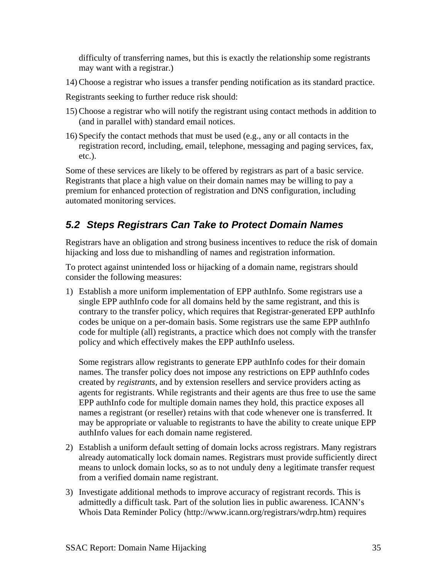<span id="page-34-0"></span>difficulty of transferring names, but this is exactly the relationship some registrants may want with a registrar.)

14) Choose a registrar who issues a transfer pending notification as its standard practice.

Registrants seeking to further reduce risk should:

- 15) Choose a registrar who will notify the registrant using contact methods in addition to (and in parallel with) standard email notices.
- 16) Specify the contact methods that must be used (e.g., any or all contacts in the registration record, including, email, telephone, messaging and paging services, fax, etc.).

Some of these services are likely to be offered by registrars as part of a basic service. Registrants that place a high value on their domain names may be willing to pay a premium for enhanced protection of registration and DNS configuration, including automated monitoring services.

### *5.2 Steps Registrars Can Take to Protect Domain Names*

Registrars have an obligation and strong business incentives to reduce the risk of domain hijacking and loss due to mishandling of names and registration information.

To protect against unintended loss or hijacking of a domain name, registrars should consider the following measures:

1) Establish a more uniform implementation of EPP authInfo. Some registrars use a single EPP authInfo code for all domains held by the same registrant, and this is contrary to the transfer policy, which requires that Registrar-generated EPP authInfo codes be unique on a per-domain basis. Some registrars use the same EPP authInfo code for multiple (all) registrants, a practice which does not comply with the transfer policy and which effectively makes the EPP authInfo useless.

Some registrars allow registrants to generate EPP authInfo codes for their domain names. The transfer policy does not impose any restrictions on EPP authInfo codes created by *registrants*, and by extension resellers and service providers acting as agents for registrants. While registrants and their agents are thus free to use the same EPP authInfo code for multiple domain names they hold, this practice exposes all names a registrant (or reseller) retains with that code whenever one is transferred. It may be appropriate or valuable to registrants to have the ability to create unique EPP authInfo values for each domain name registered.

- 2) Establish a uniform default setting of domain locks across registrars. Many registrars already automatically lock domain names. Registrars must provide sufficiently direct means to unlock domain locks, so as to not unduly deny a legitimate transfer request from a verified domain name registrant.
- 3) Investigate additional methods to improve accuracy of registrant records. This is admittedly a difficult task. Part of the solution lies in public awareness. ICANN's Whois Data Reminder Policy (http://www.icann.org/registrars/wdrp.htm) requires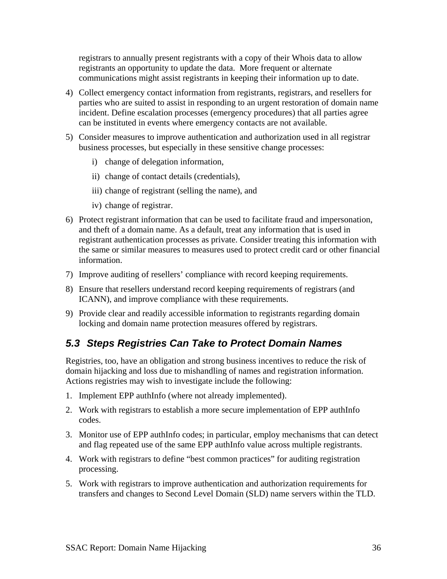<span id="page-35-0"></span>registrars to annually present registrants with a copy of their Whois data to allow registrants an opportunity to update the data. More frequent or alternate communications might assist registrants in keeping their information up to date.

- 4) Collect emergency contact information from registrants, registrars, and resellers for parties who are suited to assist in responding to an urgent restoration of domain name incident. Define escalation processes (emergency procedures) that all parties agree can be instituted in events where emergency contacts are not available.
- 5) Consider measures to improve authentication and authorization used in all registrar business processes, but especially in these sensitive change processes:
	- i) change of delegation information,
	- ii) change of contact details (credentials),
	- iii) change of registrant (selling the name), and
	- iv) change of registrar.
- 6) Protect registrant information that can be used to facilitate fraud and impersonation, and theft of a domain name. As a default, treat any information that is used in registrant authentication processes as private. Consider treating this information with the same or similar measures to measures used to protect credit card or other financial information.
- 7) Improve auditing of resellers' compliance with record keeping requirements.
- 8) Ensure that resellers understand record keeping requirements of registrars (and ICANN), and improve compliance with these requirements.
- 9) Provide clear and readily accessible information to registrants regarding domain locking and domain name protection measures offered by registrars.

### *5.3 Steps Registries Can Take to Protect Domain Names*

Registries, too, have an obligation and strong business incentives to reduce the risk of domain hijacking and loss due to mishandling of names and registration information. Actions registries may wish to investigate include the following:

- 1. Implement EPP authInfo (where not already implemented).
- 2. Work with registrars to establish a more secure implementation of EPP authInfo codes.
- 3. Monitor use of EPP authInfo codes; in particular, employ mechanisms that can detect and flag repeated use of the same EPP authInfo value across multiple registrants.
- 4. Work with registrars to define "best common practices" for auditing registration processing.
- 5. Work with registrars to improve authentication and authorization requirements for transfers and changes to Second Level Domain (SLD) name servers within the TLD.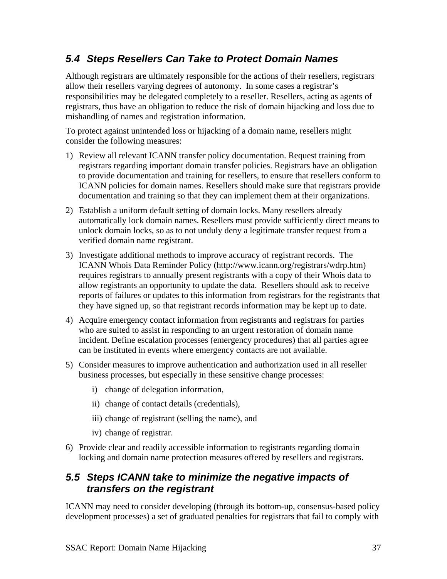### <span id="page-36-0"></span>*5.4 Steps Resellers Can Take to Protect Domain Names*

Although registrars are ultimately responsible for the actions of their resellers, registrars allow their resellers varying degrees of autonomy. In some cases a registrar's responsibilities may be delegated completely to a reseller. Resellers, acting as agents of registrars, thus have an obligation to reduce the risk of domain hijacking and loss due to mishandling of names and registration information.

To protect against unintended loss or hijacking of a domain name, resellers might consider the following measures:

- 1) Review all relevant ICANN transfer policy documentation. Request training from registrars regarding important domain transfer policies. Registrars have an obligation to provide documentation and training for resellers, to ensure that resellers conform to ICANN policies for domain names. Resellers should make sure that registrars provide documentation and training so that they can implement them at their organizations.
- 2) Establish a uniform default setting of domain locks. Many resellers already automatically lock domain names. Resellers must provide sufficiently direct means to unlock domain locks, so as to not unduly deny a legitimate transfer request from a verified domain name registrant.
- 3) Investigate additional methods to improve accuracy of registrant records. The ICANN Whois Data Reminder Policy (http://www.icann.org/registrars/wdrp.htm) requires registrars to annually present registrants with a copy of their Whois data to allow registrants an opportunity to update the data. Resellers should ask to receive reports of failures or updates to this information from registrars for the registrants that they have signed up, so that registrant records information may be kept up to date.
- 4) Acquire emergency contact information from registrants and registrars for parties who are suited to assist in responding to an urgent restoration of domain name incident. Define escalation processes (emergency procedures) that all parties agree can be instituted in events where emergency contacts are not available.
- 5) Consider measures to improve authentication and authorization used in all reseller business processes, but especially in these sensitive change processes:
	- i) change of delegation information,
	- ii) change of contact details (credentials),
	- iii) change of registrant (selling the name), and
	- iv) change of registrar.
- 6) Provide clear and readily accessible information to registrants regarding domain locking and domain name protection measures offered by resellers and registrars.

### *5.5 Steps ICANN take to minimize the negative impacts of transfers on the registrant*

ICANN may need to consider developing (through its bottom-up, consensus-based policy development processes) a set of graduated penalties for registrars that fail to comply with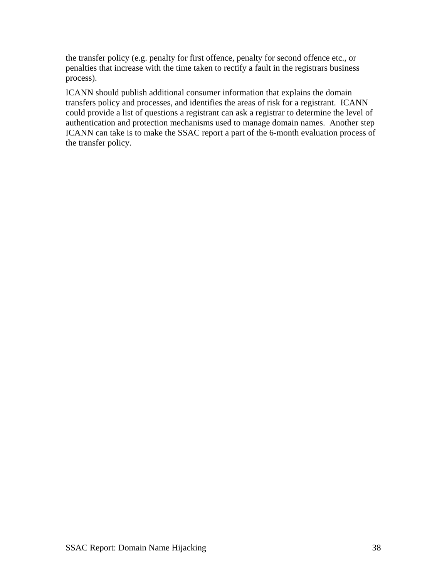the transfer policy (e.g. penalty for first offence, penalty for second offence etc., or penalties that increase with the time taken to rectify a fault in the registrars business process).

ICANN should publish additional consumer information that explains the domain transfers policy and processes, and identifies the areas of risk for a registrant. ICANN could provide a list of questions a registrant can ask a registrar to determine the level of authentication and protection mechanisms used to manage domain names. Another step ICANN can take is to make the SSAC report a part of the 6-month evaluation process of the transfer policy.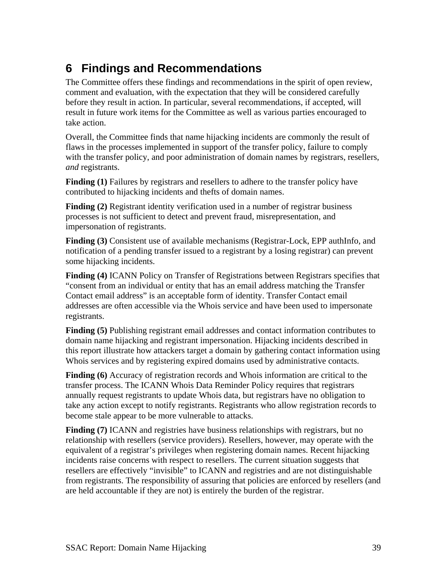# <span id="page-38-0"></span>**6 Findings and Recommendations**

The Committee offers these findings and recommendations in the spirit of open review, comment and evaluation, with the expectation that they will be considered carefully before they result in action. In particular, several recommendations, if accepted, will result in future work items for the Committee as well as various parties encouraged to take action.

Overall, the Committee finds that name hijacking incidents are commonly the result of flaws in the processes implemented in support of the transfer policy, failure to comply with the transfer policy, and poor administration of domain names by registrars, resellers, *and* registrants.

**Finding (1)** Failures by registrars and resellers to adhere to the transfer policy have contributed to hijacking incidents and thefts of domain names.

**Finding (2)** Registrant identity verification used in a number of registrar business processes is not sufficient to detect and prevent fraud, misrepresentation, and impersonation of registrants.

**Finding (3)** Consistent use of available mechanisms (Registrar-Lock, EPP authInfo, and notification of a pending transfer issued to a registrant by a losing registrar) can prevent some hijacking incidents.

**Finding (4)** ICANN Policy on Transfer of Registrations between Registrars specifies that "consent from an individual or entity that has an email address matching the Transfer Contact email address" is an acceptable form of identity. Transfer Contact email addresses are often accessible via the Whois service and have been used to impersonate registrants.

**Finding (5)** Publishing registrant email addresses and contact information contributes to domain name hijacking and registrant impersonation. Hijacking incidents described in this report illustrate how attackers target a domain by gathering contact information using Whois services and by registering expired domains used by administrative contacts.

**Finding (6)** Accuracy of registration records and Whois information are critical to the transfer process. The ICANN Whois Data Reminder Policy requires that registrars annually request registrants to update Whois data, but registrars have no obligation to take any action except to notify registrants. Registrants who allow registration records to become stale appear to be more vulnerable to attacks.

**Finding (7)** ICANN and registries have business relationships with registrars, but no relationship with resellers (service providers). Resellers, however, may operate with the equivalent of a registrar's privileges when registering domain names. Recent hijacking incidents raise concerns with respect to resellers. The current situation suggests that resellers are effectively "invisible" to ICANN and registries and are not distinguishable from registrants. The responsibility of assuring that policies are enforced by resellers (and are held accountable if they are not) is entirely the burden of the registrar.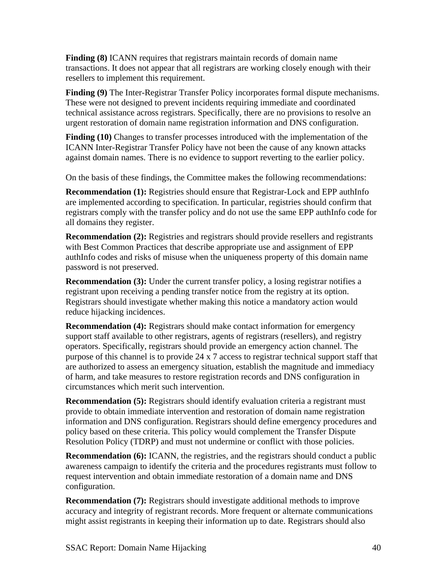**Finding (8)** ICANN requires that registrars maintain records of domain name transactions. It does not appear that all registrars are working closely enough with their resellers to implement this requirement.

**Finding (9)** The Inter-Registrar Transfer Policy incorporates formal dispute mechanisms. These were not designed to prevent incidents requiring immediate and coordinated technical assistance across registrars. Specifically, there are no provisions to resolve an urgent restoration of domain name registration information and DNS configuration.

**Finding (10)** Changes to transfer processes introduced with the implementation of the ICANN Inter-Registrar Transfer Policy have not been the cause of any known attacks against domain names. There is no evidence to support reverting to the earlier policy.

On the basis of these findings, the Committee makes the following recommendations:

**Recommendation (1):** Registries should ensure that Registrar-Lock and EPP authInfo are implemented according to specification. In particular, registries should confirm that registrars comply with the transfer policy and do not use the same EPP authInfo code for all domains they register.

**Recommendation (2):** Registries and registrars should provide resellers and registrants with Best Common Practices that describe appropriate use and assignment of EPP authInfo codes and risks of misuse when the uniqueness property of this domain name password is not preserved.

**Recommendation (3):** Under the current transfer policy, a losing registrar notifies a registrant upon receiving a pending transfer notice from the registry at its option. Registrars should investigate whether making this notice a mandatory action would reduce hijacking incidences.

**Recommendation (4):** Registrars should make contact information for emergency support staff available to other registrars, agents of registrars (resellers), and registry operators. Specifically, registrars should provide an emergency action channel. The purpose of this channel is to provide 24 x 7 access to registrar technical support staff that are authorized to assess an emergency situation, establish the magnitude and immediacy of harm, and take measures to restore registration records and DNS configuration in circumstances which merit such intervention.

**Recommendation (5):** Registrars should identify evaluation criteria a registrant must provide to obtain immediate intervention and restoration of domain name registration information and DNS configuration. Registrars should define emergency procedures and policy based on these criteria. This policy would complement the Transfer Dispute Resolution Policy (TDRP) and must not undermine or conflict with those policies.

**Recommendation (6):** ICANN, the registries, and the registrars should conduct a public awareness campaign to identify the criteria and the procedures registrants must follow to request intervention and obtain immediate restoration of a domain name and DNS configuration.

**Recommendation (7):** Registrars should investigate additional methods to improve accuracy and integrity of registrant records. More frequent or alternate communications might assist registrants in keeping their information up to date. Registrars should also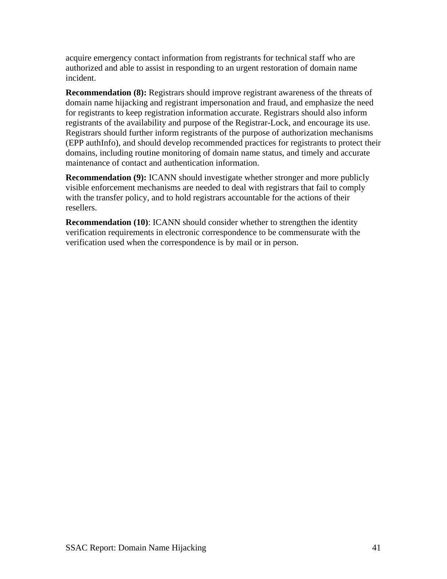acquire emergency contact information from registrants for technical staff who are authorized and able to assist in responding to an urgent restoration of domain name incident.

**Recommendation (8):** Registrars should improve registrant awareness of the threats of domain name hijacking and registrant impersonation and fraud, and emphasize the need for registrants to keep registration information accurate. Registrars should also inform registrants of the availability and purpose of the Registrar-Lock, and encourage its use. Registrars should further inform registrants of the purpose of authorization mechanisms (EPP authInfo), and should develop recommended practices for registrants to protect their domains, including routine monitoring of domain name status, and timely and accurate maintenance of contact and authentication information.

**Recommendation (9):** ICANN should investigate whether stronger and more publicly visible enforcement mechanisms are needed to deal with registrars that fail to comply with the transfer policy, and to hold registrars accountable for the actions of their resellers.

**Recommendation (10)**: ICANN should consider whether to strengthen the identity verification requirements in electronic correspondence to be commensurate with the verification used when the correspondence is by mail or in person.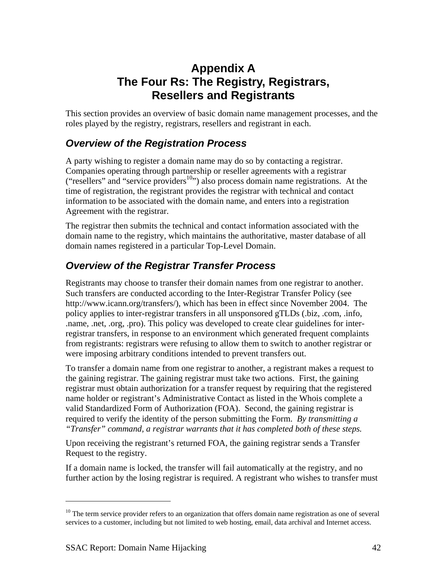## **Appendix A The Four Rs: The Registry, Registrars, Resellers and Registrants**

<span id="page-41-0"></span>This section provides an overview of basic domain name management processes, and the roles played by the registry, registrars, resellers and registrant in each.

### *Overview of the Registration Process*

A party wishing to register a domain name may do so by contacting a registrar. Companies operating through partnership or reseller agreements with a registrar ("resellers" and "service providers<sup>10</sup>") also process domain name registrations. At the time of registration, the registrant provides the registrar with technical and contact information to be associated with the domain name, and enters into a registration Agreement with the registrar.

The registrar then submits the technical and contact information associated with the domain name to the registry, which maintains the authoritative, master database of all domain names registered in a particular Top-Level Domain.

### *Overview of the Registrar Transfer Process*

Registrants may choose to transfer their domain names from one registrar to another. Such transfers are conducted according to the Inter-Registrar Transfer Policy (see http://www.icann.org/transfers/), which has been in effect since November 2004. The policy applies to inter-registrar transfers in all unsponsored gTLDs (.biz, .com, .info, .name, .net, .org, .pro). This policy was developed to create clear guidelines for interregistrar transfers, in response to an environment which generated frequent complaints from registrants: registrars were refusing to allow them to switch to another registrar or were imposing arbitrary conditions intended to prevent transfers out.

To transfer a domain name from one registrar to another, a registrant makes a request to the gaining registrar. The gaining registrar must take two actions. First, the gaining registrar must obtain authorization for a transfer request by requiring that the registered name holder or registrant's Administrative Contact as listed in the Whois complete a valid Standardized Form of Authorization (FOA). Second, the gaining registrar is required to verify the identity of the person submitting the Form. *By transmitting a "Transfer" command, a registrar warrants that it has completed both of these steps.*

Upon receiving the registrant's returned FOA, the gaining registrar sends a Transfer Request to the registry.

If a domain name is locked, the transfer will fail automatically at the registry, and no further action by the losing registrar is required. A registrant who wishes to transfer must

 $\overline{a}$ 

<span id="page-41-1"></span><sup>&</sup>lt;sup>10</sup> The term service provider refers to an organization that offers domain name registration as one of several services to a customer, including but not limited to web hosting, email, data archival and Internet access.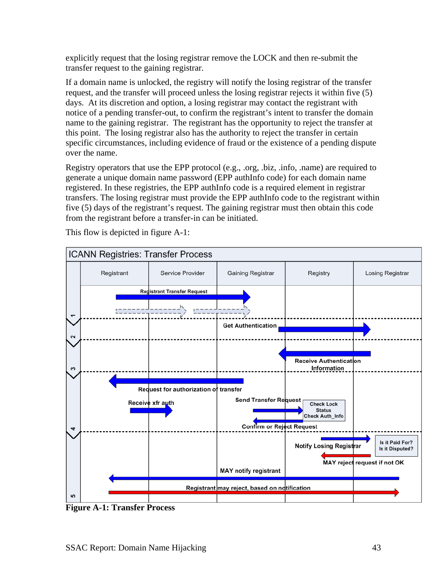explicitly request that the losing registrar remove the LOCK and then re-submit the transfer request to the gaining registrar.

If a domain name is unlocked, the registry will notify the losing registrar of the transfer request, and the transfer will proceed unless the losing registrar rejects it within five (5) days. At its discretion and option, a losing registrar may contact the registrant with notice of a pending transfer-out, to confirm the registrant's intent to transfer the domain name to the gaining registrar. The registrant has the opportunity to reject the transfer at this point. The losing registrar also has the authority to reject the transfer in certain specific circumstances, including evidence of fraud or the existence of a pending dispute over the name.

Registry operators that use the EPP protocol (e.g., .org, .biz, .info, .name) are required to generate a unique domain name password (EPP authInfo code) for each domain name registered. In these registries, the EPP authInfo code is a required element in registrar transfers. The losing registrar must provide the EPP authInfo code to the registrant within five (5) days of the registrant's request. The gaining registrar must then obtain this code from the registrant before a transfer-in can be initiated.



This flow is depicted in figure A-1:

**Figure A-1: Transfer Process**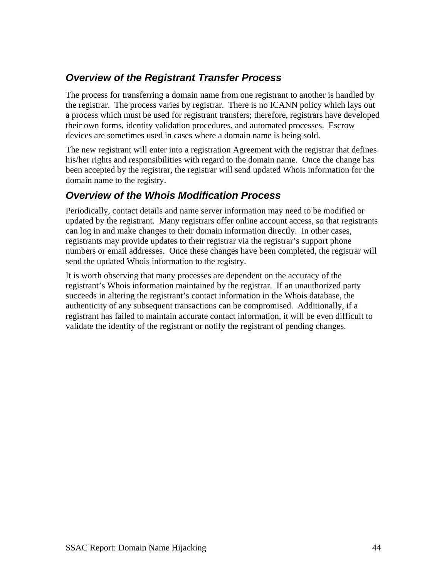### <span id="page-43-0"></span>*Overview of the Registrant Transfer Process*

The process for transferring a domain name from one registrant to another is handled by the registrar. The process varies by registrar. There is no ICANN policy which lays out a process which must be used for registrant transfers; therefore, registrars have developed their own forms, identity validation procedures, and automated processes. Escrow devices are sometimes used in cases where a domain name is being sold.

The new registrant will enter into a registration Agreement with the registrar that defines his/her rights and responsibilities with regard to the domain name. Once the change has been accepted by the registrar, the registrar will send updated Whois information for the domain name to the registry.

### *Overview of the Whois Modification Process*

Periodically, contact details and name server information may need to be modified or updated by the registrant. Many registrars offer online account access, so that registrants can log in and make changes to their domain information directly. In other cases, registrants may provide updates to their registrar via the registrar's support phone numbers or email addresses. Once these changes have been completed, the registrar will send the updated Whois information to the registry.

It is worth observing that many processes are dependent on the accuracy of the registrant's Whois information maintained by the registrar. If an unauthorized party succeeds in altering the registrant's contact information in the Whois database, the authenticity of any subsequent transactions can be compromised. Additionally, if a registrant has failed to maintain accurate contact information, it will be even difficult to validate the identity of the registrant or notify the registrant of pending changes.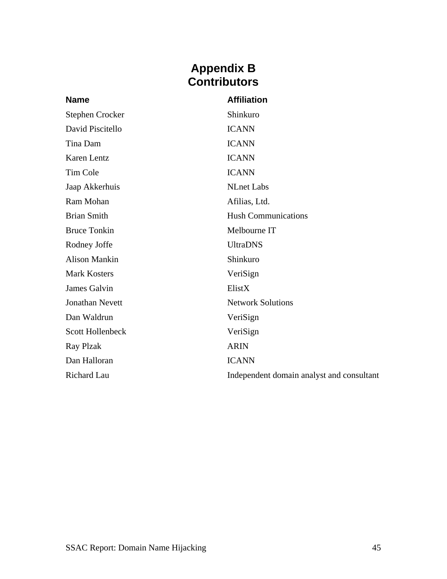### **Appendix B Contributors**

<span id="page-44-0"></span>

| <b>Name</b>             | <b>Affiliation</b>                        |
|-------------------------|-------------------------------------------|
| Stephen Crocker         | Shinkuro                                  |
| David Piscitello        | <b>ICANN</b>                              |
| Tina Dam                | <b>ICANN</b>                              |
| Karen Lentz             | <b>ICANN</b>                              |
| Tim Cole                | <b>ICANN</b>                              |
| Jaap Akkerhuis          | <b>NLnet Labs</b>                         |
| Ram Mohan               | Afilias, Ltd.                             |
| <b>Brian Smith</b>      | <b>Hush Communications</b>                |
| <b>Bruce Tonkin</b>     | Melbourne IT                              |
| Rodney Joffe            | <b>UltraDNS</b>                           |
| <b>Alison Mankin</b>    | Shinkuro                                  |
| <b>Mark Kosters</b>     | VeriSign                                  |
| James Galvin            | ElistX                                    |
| <b>Jonathan Nevett</b>  | <b>Network Solutions</b>                  |
| Dan Waldrun             | VeriSign                                  |
| <b>Scott Hollenbeck</b> | VeriSign                                  |
| <b>Ray Plzak</b>        | <b>ARIN</b>                               |
| Dan Halloran            | <b>ICANN</b>                              |
| <b>Richard Lau</b>      | Independent domain analyst and consultant |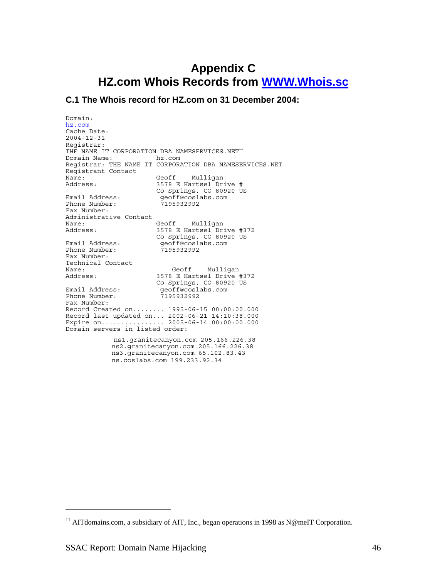## <span id="page-45-0"></span>**Appendix C HZ.com Whois Records from [WWW.Whois.sc](http://www.whois.sc/)**

#### **C.1 The Whois record for HZ.com on 31 December 2004:**

Domain: [hz.com](http://www.whois.sc/hz.com) Cache Date: 2004-12-31 Registrar: THE NAME IT CORPORATION DBA NAMESERVICES. NET<sup>[11](#page-45-1)</sup> Domain Name: hz.com Registrar: THE NAME IT CORPORATION DBA NAMESERVICES.NET Registrant Contact Name: Geoff Mulligan Address: 3578 E Hartsel Drive # Co Springs, CO 80920 US<br>Email Address: ended reoff@coslabs.com geoff@coslabs.com<br>7195932992 Phone Number: Fax Number: Administrative Contact Geoff Mulligan Address: 3578 E Hartsel Drive #372 Co Springs, CO 80920 US Email Address: geoff@coslabs.com Phone Number: 7195932992 Fax Number: Technical Contact Name: Geoff Mulligan<br>Address: 3578 E Hartsel Drive 3578 E Hartsel Drive #372 Co Springs, CO 80920 US<br>Email Address: entrancement of the second decorations.com Email Address: geoff@coslabs.com Phone Number: 7195932992 Fax Number: Record Created on........ 1995-06-15 00:00:00.000 Record last updated on... 2002-06-21 14:10:38.000 Expire on................ 2005-06-14 00:00:00.000 Domain servers in listed order: ns1.granitecanyon.com 205.166.226.38 ns2.granitecanyon.com 205.166.226.38 ns3.granitecanyon.com 65.102.83.43 ns.coslabs.com 199.233.92.34

 $\overline{a}$ 

<span id="page-45-1"></span><sup>&</sup>lt;sup>11</sup> AITdomains.com, a subsidiary of AIT, Inc., began operations in 1998 as N@meIT Corporation.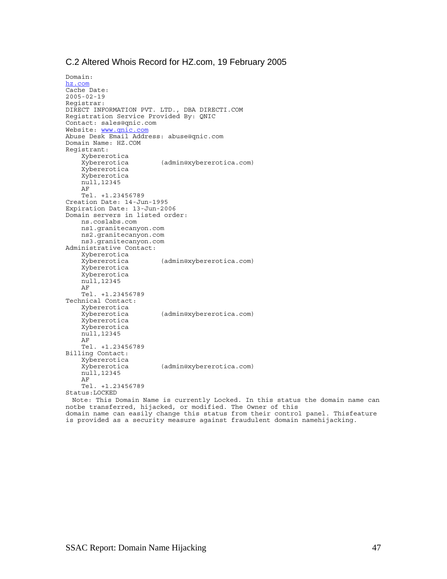#### C.2 Altered Whois Record for HZ.com, 19 February 2005

Domain: [hz.com](http://www.whois.sc/hz.com) Cache Date: 2005-02-19 Registrar: DIRECT INFORMATION PVT. LTD., DBA DIRECTI.COM Registration Service Provided By: QNIC Contact: sales@qnic.com Website: [www.qnic.com](http://www.qnic.com/) Abuse Desk Email Address: abuse@qnic.com Domain Name: HZ.COM Registrant: Xybererotica (admin@xybererotica.com) Xybererotica Xybererotica null,12345 AF Tel. +1.23456789 Creation Date: 14-Jun-1995 Expiration Date: 13-Jun-2006 Domain servers in listed order: ns.coslabs.com ns1.granitecanyon.com ns2.granitecanyon.com ns3.granitecanyon.com Administrative Contact: Xybererotica (admin@xybererotica.com) Xybererotica Xybererotica null,12345 AF Tel. +1.23456789 Technical Contact: Xybererotica (admin@xybererotica.com) Xybererotica Xybererotica null,12345 AF Tel. +1.23456789 Billing Contact: Xybererotica (admin@xybererotica.com) null,12345 AF Tel. +1.23456789 Status:LOCKED Note: This Domain Name is currently Locked. In this status the domain name can notbe transferred, hijacked, or modified. The Owner of this domain name can easily change this status from their control panel. Thisfeature

is provided as a security measure against fraudulent domain namehijacking.